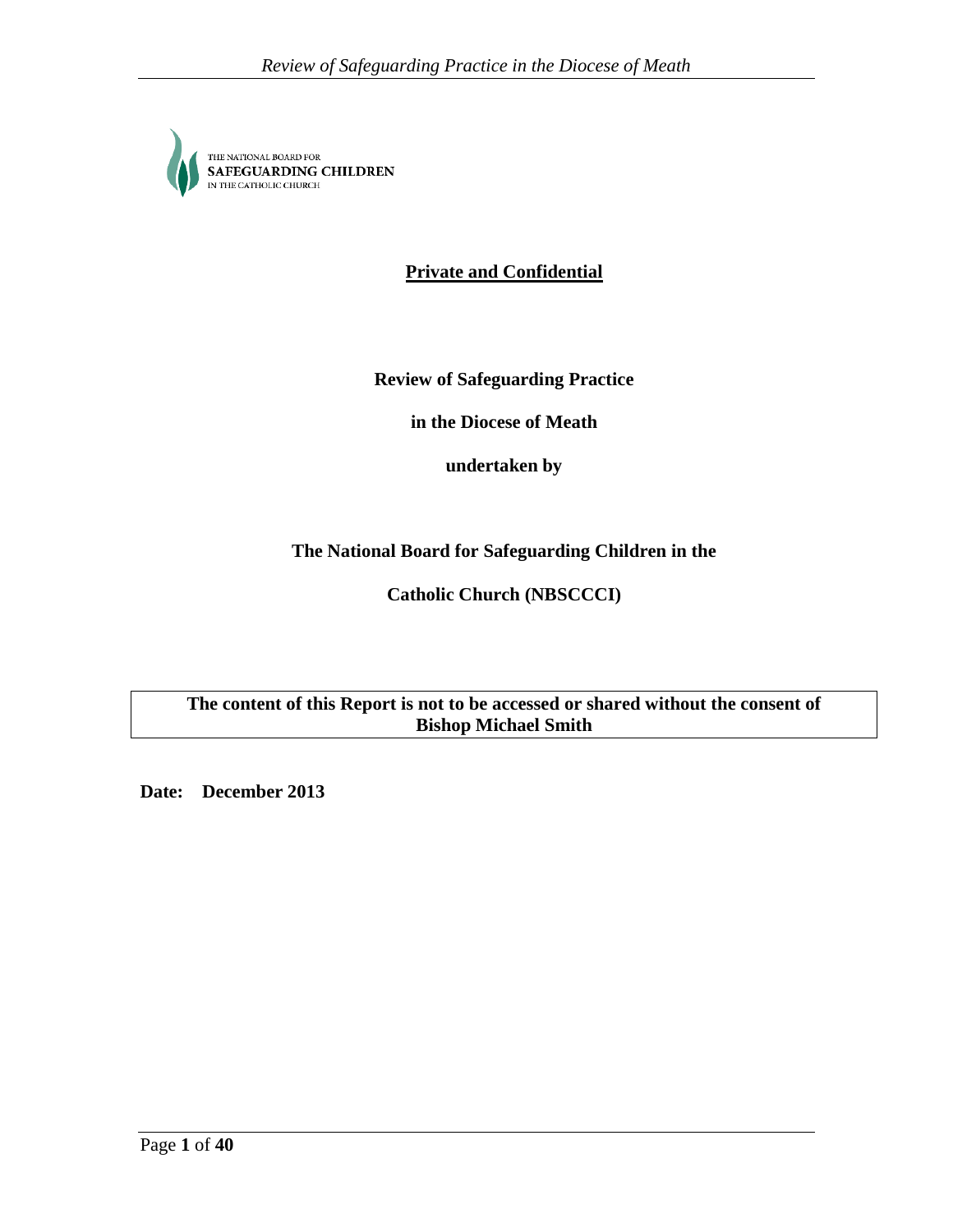

**Private and Confidential**

**Review of Safeguarding Practice**

**in the Diocese of Meath**

**undertaken by**

**The National Board for Safeguarding Children in the**

**Catholic Church (NBSCCCI)**

**The content of this Report is not to be accessed or shared without the consent of Bishop Michael Smith** 

**Date: December 2013**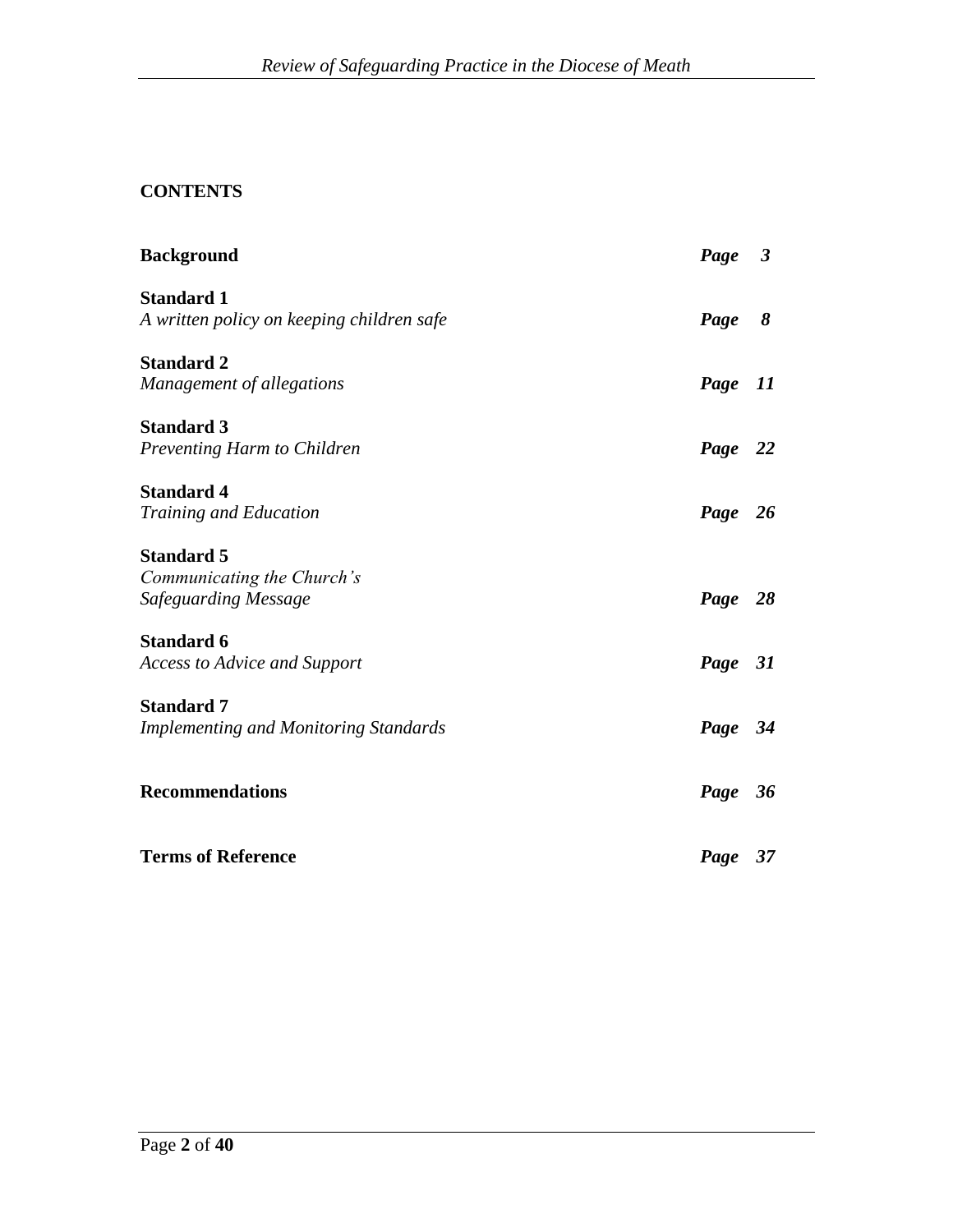# **CONTENTS**

| <b>Background</b>                            | Page 3  |    |
|----------------------------------------------|---------|----|
| <b>Standard 1</b>                            |         |    |
| A written policy on keeping children safe    | Page    | 8  |
| <b>Standard 2</b>                            |         |    |
| Management of allegations                    | Page    | 11 |
| <b>Standard 3</b>                            |         |    |
| Preventing Harm to Children                  | Page 22 |    |
| <b>Standard 4</b>                            |         |    |
| <b>Training and Education</b>                | Page 26 |    |
| <b>Standard 5</b>                            |         |    |
| Communicating the Church's                   |         |    |
| Safeguarding Message                         | Page 28 |    |
| <b>Standard 6</b>                            |         |    |
| <b>Access to Advice and Support</b>          | Page 31 |    |
| <b>Standard 7</b>                            |         |    |
| <b>Implementing and Monitoring Standards</b> | Page 34 |    |
| <b>Recommendations</b>                       | Page 36 |    |
|                                              |         |    |
| <b>Terms of Reference</b>                    | Page 37 |    |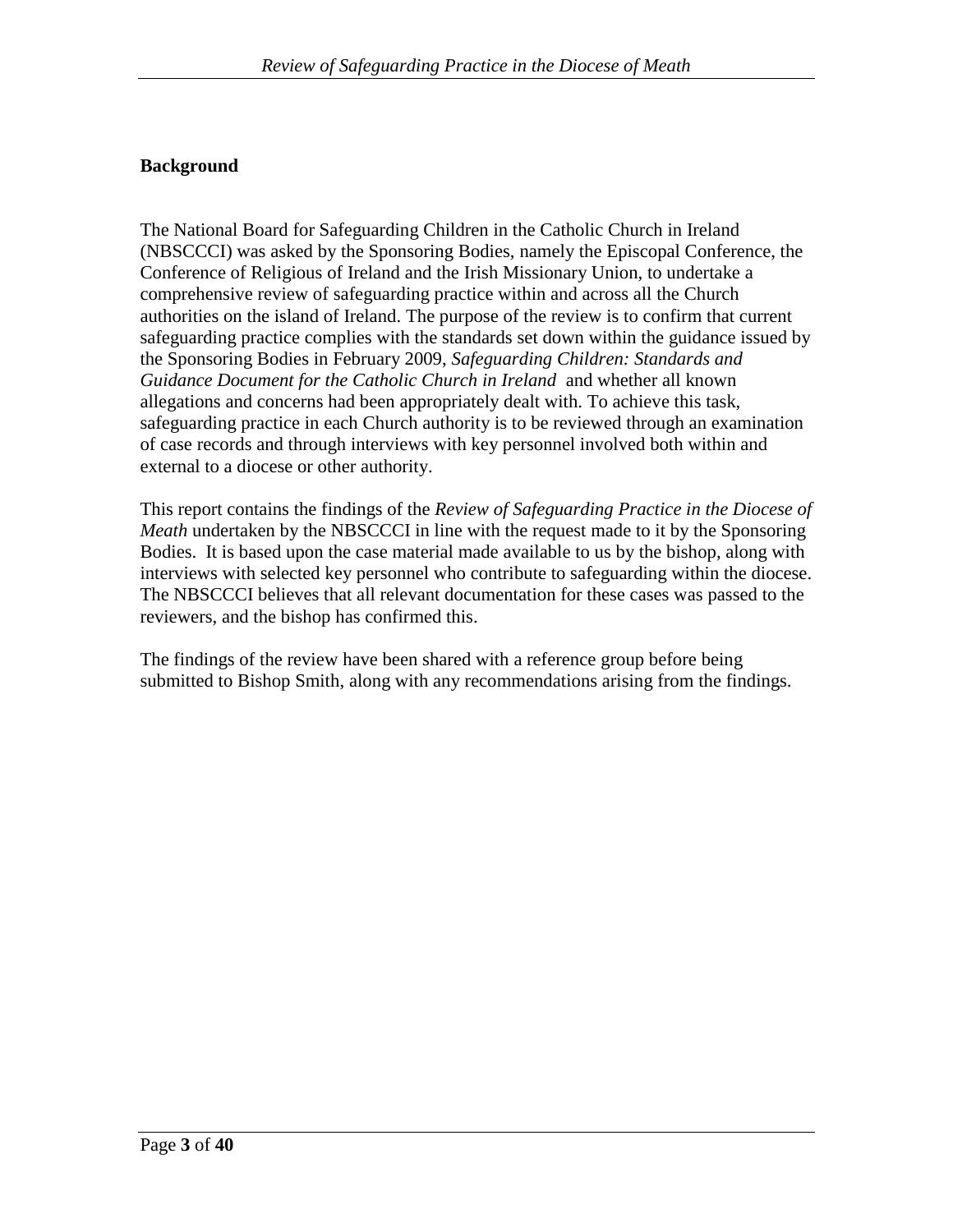## **Background**

The National Board for Safeguarding Children in the Catholic Church in Ireland (NBSCCCI) was asked by the Sponsoring Bodies, namely the Episcopal Conference, the Conference of Religious of Ireland and the Irish Missionary Union, to undertake a comprehensive review of safeguarding practice within and across all the Church authorities on the island of Ireland. The purpose of the review is to confirm that current safeguarding practice complies with the standards set down within the guidance issued by the Sponsoring Bodies in February 2009, *Safeguarding Children: Standards and Guidance Document for the Catholic Church in Ireland* and whether all known allegations and concerns had been appropriately dealt with. To achieve this task, safeguarding practice in each Church authority is to be reviewed through an examination of case records and through interviews with key personnel involved both within and external to a diocese or other authority.

This report contains the findings of the *Review of Safeguarding Practice in the Diocese of Meath* undertaken by the NBSCCCI in line with the request made to it by the Sponsoring Bodies. It is based upon the case material made available to us by the bishop, along with interviews with selected key personnel who contribute to safeguarding within the diocese. The NBSCCCI believes that all relevant documentation for these cases was passed to the reviewers, and the bishop has confirmed this.

The findings of the review have been shared with a reference group before being submitted to Bishop Smith, along with any recommendations arising from the findings.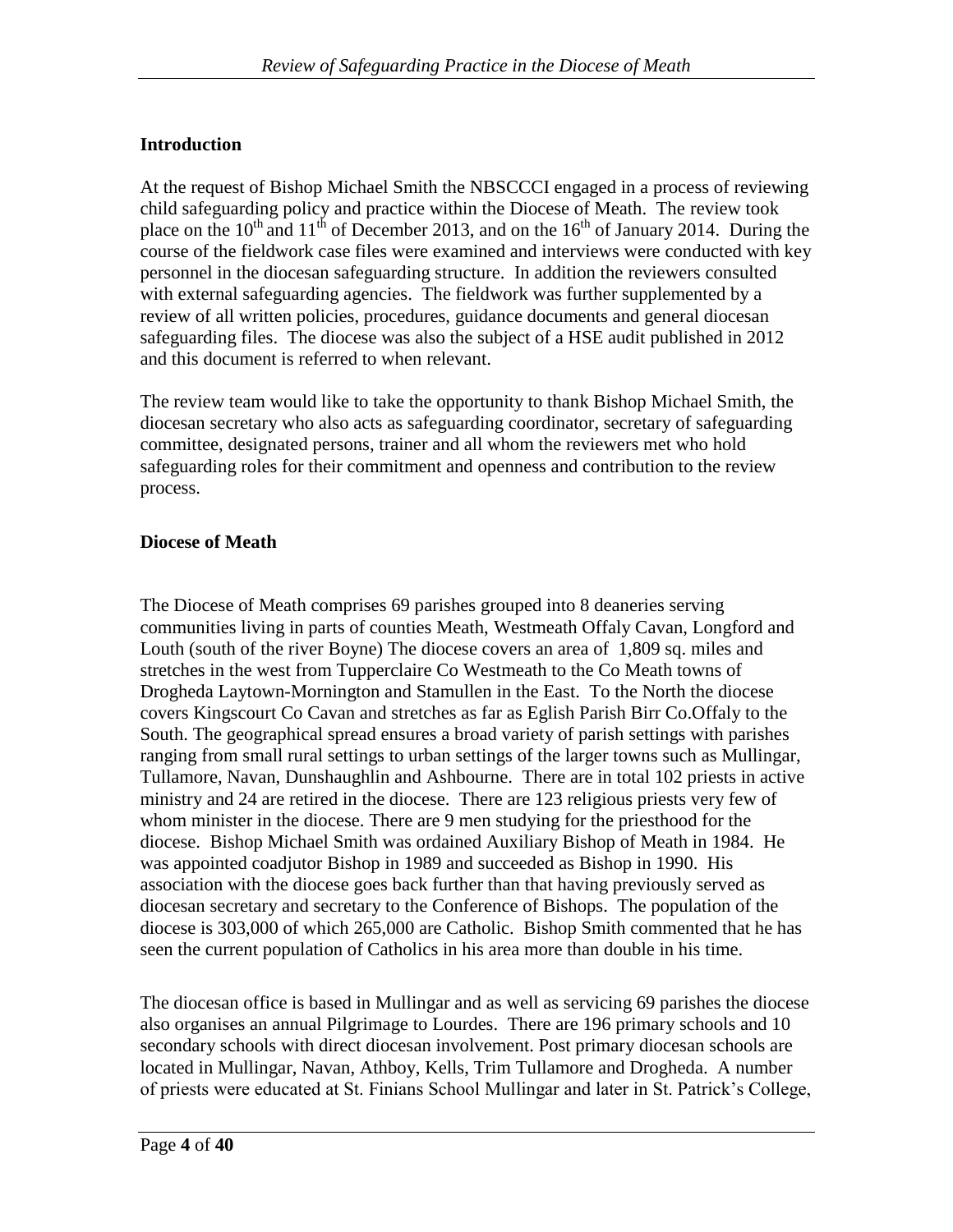# **Introduction**

At the request of Bishop Michael Smith the NBSCCCI engaged in a process of reviewing child safeguarding policy and practice within the Diocese of Meath. The review took place on the  $10^{th}$  and  $11^{th}$  of December 2013, and on the  $16^{th}$  of January 2014. During the course of the fieldwork case files were examined and interviews were conducted with key personnel in the diocesan safeguarding structure. In addition the reviewers consulted with external safeguarding agencies. The fieldwork was further supplemented by a review of all written policies, procedures, guidance documents and general diocesan safeguarding files. The diocese was also the subject of a HSE audit published in 2012 and this document is referred to when relevant.

The review team would like to take the opportunity to thank Bishop Michael Smith, the diocesan secretary who also acts as safeguarding coordinator, secretary of safeguarding committee, designated persons, trainer and all whom the reviewers met who hold safeguarding roles for their commitment and openness and contribution to the review process.

## **Diocese of Meath**

The Diocese of Meath comprises 69 parishes grouped into 8 deaneries serving communities living in parts of counties Meath, Westmeath Offaly Cavan, Longford and Louth (south of the river Boyne) The diocese covers an area of 1,809 sq. miles and stretches in the west from Tupperclaire Co Westmeath to the Co Meath towns of Drogheda Laytown-Mornington and Stamullen in the East. To the North the diocese covers Kingscourt Co Cavan and stretches as far as Eglish Parish Birr Co.Offaly to the South. The geographical spread ensures a broad variety of parish settings with parishes ranging from small rural settings to urban settings of the larger towns such as Mullingar, Tullamore, Navan, Dunshaughlin and Ashbourne. There are in total 102 priests in active ministry and 24 are retired in the diocese. There are 123 religious priests very few of whom minister in the diocese. There are 9 men studying for the priesthood for the diocese. Bishop Michael Smith was ordained Auxiliary Bishop of Meath in 1984. He was appointed coadjutor Bishop in 1989 and succeeded as Bishop in 1990. His association with the diocese goes back further than that having previously served as diocesan secretary and secretary to the Conference of Bishops. The population of the diocese is 303,000 of which 265,000 are Catholic. Bishop Smith commented that he has seen the current population of Catholics in his area more than double in his time.

The diocesan office is based in Mullingar and as well as servicing 69 parishes the diocese also organises an annual Pilgrimage to Lourdes. There are 196 primary schools and 10 secondary schools with direct diocesan involvement. Post primary diocesan schools are located in Mullingar, Navan, Athboy, Kells, Trim Tullamore and Drogheda. A number of priests were educated at St. Finians School Mullingar and later in St. Patrick's College,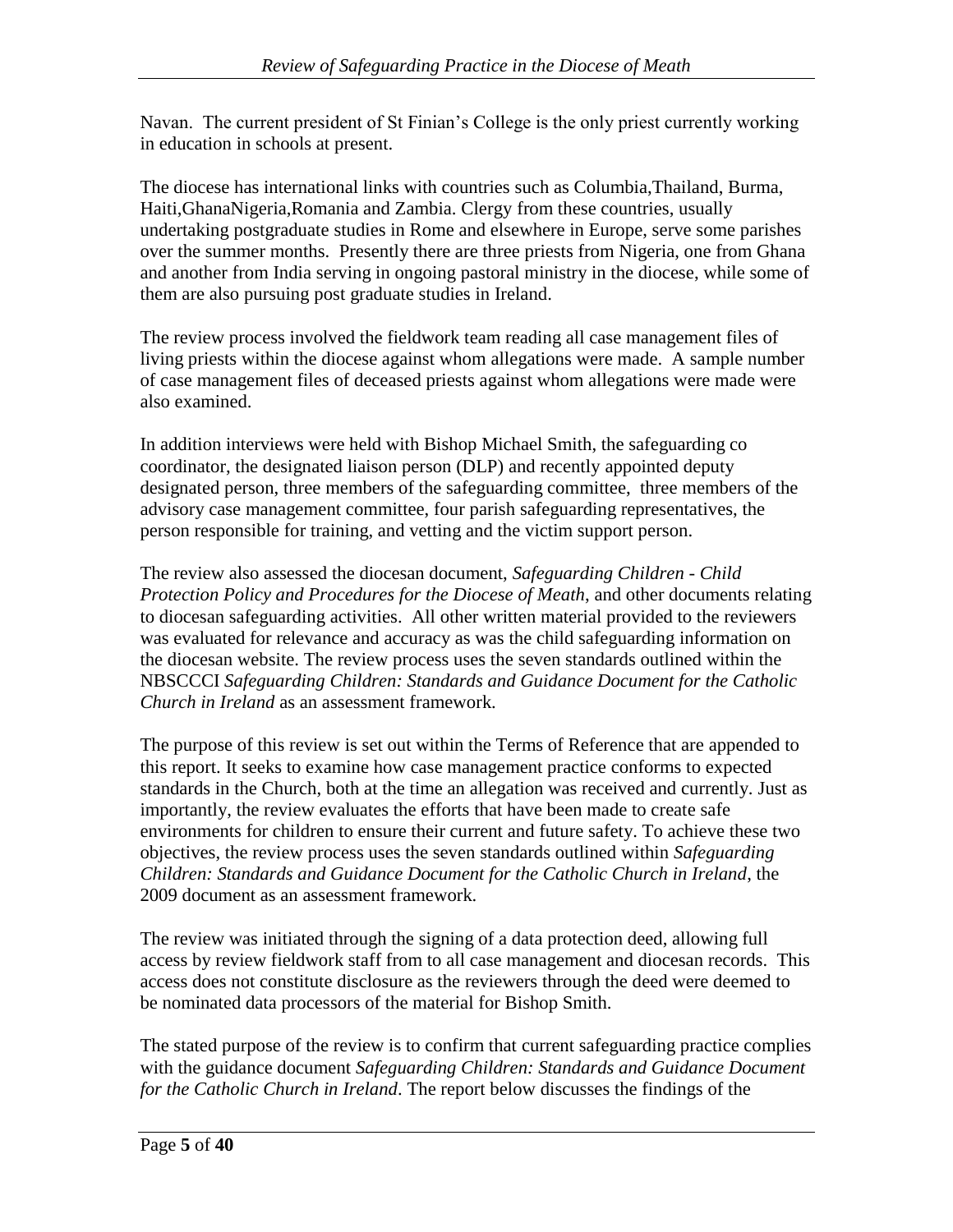Navan. The current president of St Finian's College is the only priest currently working in education in schools at present.

The diocese has international links with countries such as Columbia,Thailand, Burma, Haiti,GhanaNigeria,Romania and Zambia. Clergy from these countries, usually undertaking postgraduate studies in Rome and elsewhere in Europe, serve some parishes over the summer months. Presently there are three priests from Nigeria, one from Ghana and another from India serving in ongoing pastoral ministry in the diocese, while some of them are also pursuing post graduate studies in Ireland.

The review process involved the fieldwork team reading all case management files of living priests within the diocese against whom allegations were made. A sample number of case management files of deceased priests against whom allegations were made were also examined.

In addition interviews were held with Bishop Michael Smith, the safeguarding co coordinator, the designated liaison person (DLP) and recently appointed deputy designated person, three members of the safeguarding committee, three members of the advisory case management committee, four parish safeguarding representatives, the person responsible for training, and vetting and the victim support person.

The review also assessed the diocesan document, *Safeguarding Children* - *Child Protection Policy and Procedures for the Diocese of Meath*, and other documents relating to diocesan safeguarding activities. All other written material provided to the reviewers was evaluated for relevance and accuracy as was the child safeguarding information on the diocesan website. The review process uses the seven standards outlined within the NBSCCCI *Safeguarding Children: Standards and Guidance Document for the Catholic Church in Ireland* as an assessment framework.

The purpose of this review is set out within the Terms of Reference that are appended to this report. It seeks to examine how case management practice conforms to expected standards in the Church, both at the time an allegation was received and currently. Just as importantly, the review evaluates the efforts that have been made to create safe environments for children to ensure their current and future safety. To achieve these two objectives, the review process uses the seven standards outlined within *Safeguarding Children: Standards and Guidance Document for the Catholic Church in Ireland*, the 2009 document as an assessment framework.

The review was initiated through the signing of a data protection deed, allowing full access by review fieldwork staff from to all case management and diocesan records. This access does not constitute disclosure as the reviewers through the deed were deemed to be nominated data processors of the material for Bishop Smith.

The stated purpose of the review is to confirm that current safeguarding practice complies with the guidance document *Safeguarding Children: Standards and Guidance Document for the Catholic Church in Ireland*. The report below discusses the findings of the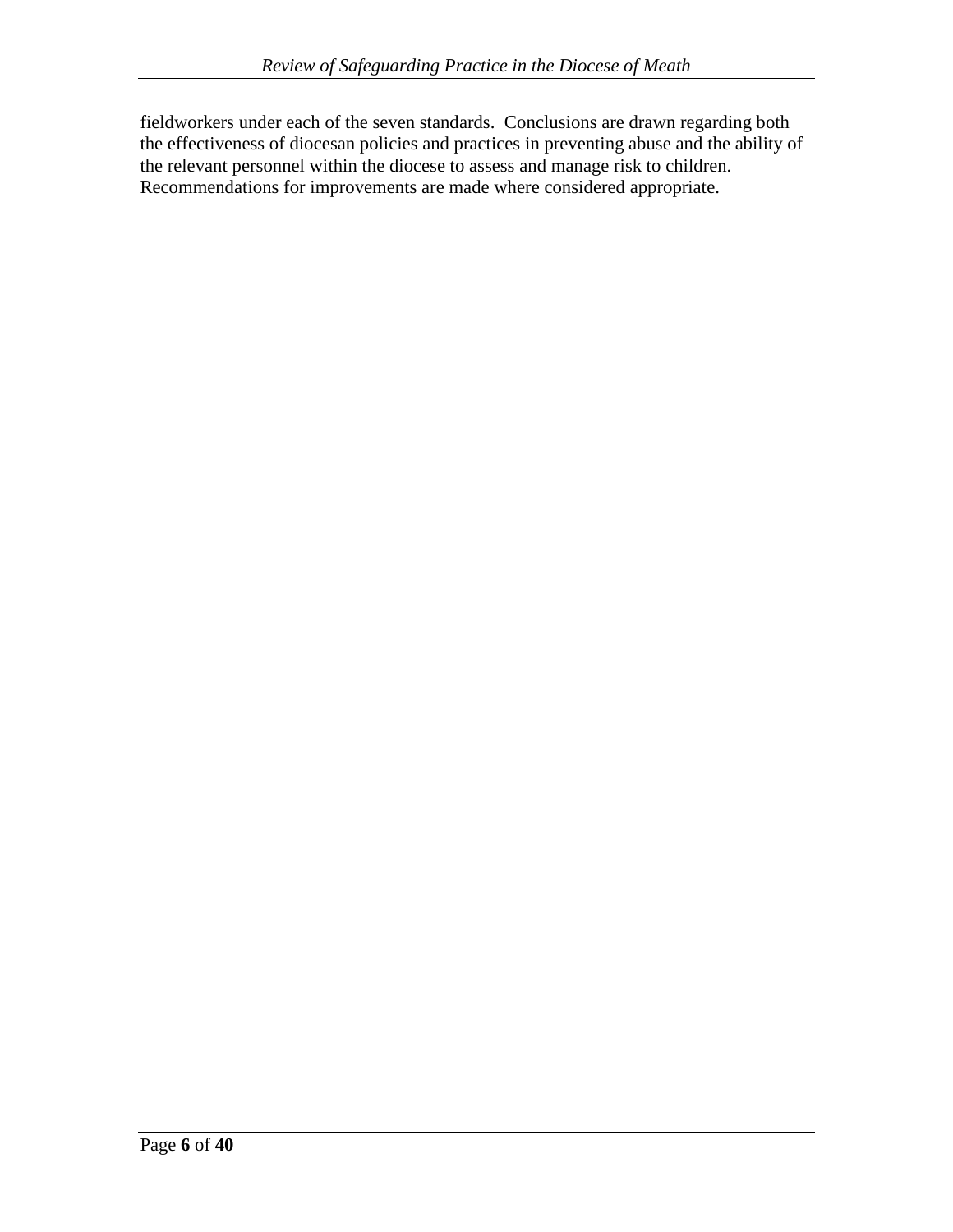fieldworkers under each of the seven standards. Conclusions are drawn regarding both the effectiveness of diocesan policies and practices in preventing abuse and the ability of the relevant personnel within the diocese to assess and manage risk to children. Recommendations for improvements are made where considered appropriate.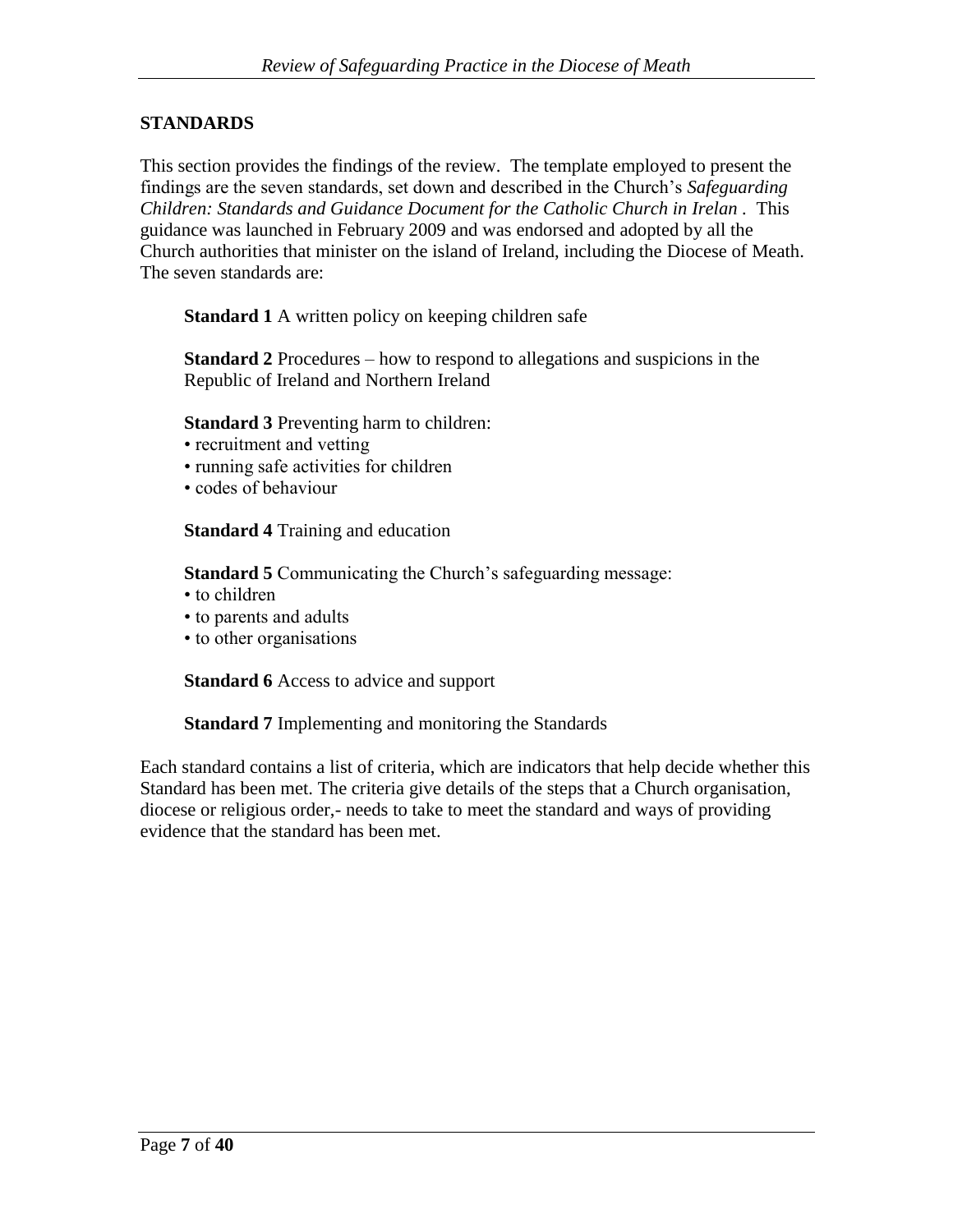### **STANDARDS**

This section provides the findings of the review. The template employed to present the findings are the seven standards, set down and described in the Church's *Safeguarding Children: Standards and Guidance Document for the Catholic Church in Irelan .* This guidance was launched in February 2009 and was endorsed and adopted by all the Church authorities that minister on the island of Ireland, including the Diocese of Meath. The seven standards are:

**Standard 1** A written policy on keeping children safe

**Standard 2** Procedures – how to respond to allegations and suspicions in the Republic of Ireland and Northern Ireland

**Standard 3** Preventing harm to children:

- recruitment and vetting
- running safe activities for children
- codes of behaviour

**Standard 4** Training and education

**Standard 5** Communicating the Church's safeguarding message:

- to children
- to parents and adults
- to other organisations

**Standard 6** Access to advice and support

**Standard 7** Implementing and monitoring the Standards

Each standard contains a list of criteria, which are indicators that help decide whether this Standard has been met. The criteria give details of the steps that a Church organisation, diocese or religious order,- needs to take to meet the standard and ways of providing evidence that the standard has been met.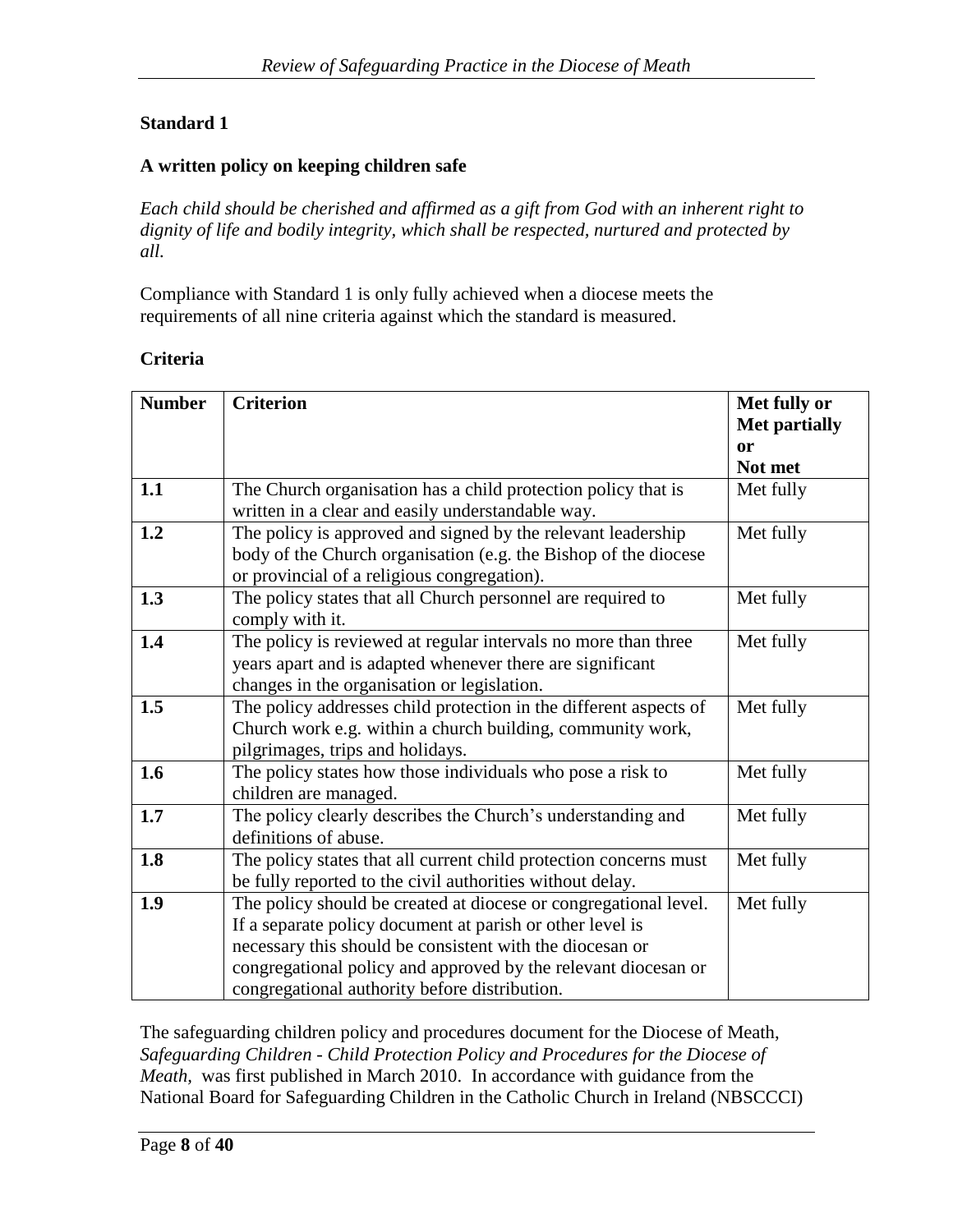# **Standard 1**

### **A written policy on keeping children safe**

*Each child should be cherished and affirmed as a gift from God with an inherent right to dignity of life and bodily integrity, which shall be respected, nurtured and protected by all.*

Compliance with Standard 1 is only fully achieved when a diocese meets the requirements of all nine criteria against which the standard is measured.

#### **Criteria**

| <b>Number</b> | <b>Criterion</b>                                                                                                                                                                                                                                                                                             | Met fully or<br><b>Met partially</b><br><sub>or</sub><br>Not met |
|---------------|--------------------------------------------------------------------------------------------------------------------------------------------------------------------------------------------------------------------------------------------------------------------------------------------------------------|------------------------------------------------------------------|
| 1.1           | The Church organisation has a child protection policy that is<br>written in a clear and easily understandable way.                                                                                                                                                                                           | Met fully                                                        |
| 1.2           | The policy is approved and signed by the relevant leadership<br>body of the Church organisation (e.g. the Bishop of the diocese<br>or provincial of a religious congregation).                                                                                                                               | Met fully                                                        |
| 1.3           | The policy states that all Church personnel are required to<br>comply with it.                                                                                                                                                                                                                               | Met fully                                                        |
| 1.4           | The policy is reviewed at regular intervals no more than three<br>years apart and is adapted whenever there are significant<br>changes in the organisation or legislation.                                                                                                                                   | Met fully                                                        |
| 1.5           | The policy addresses child protection in the different aspects of<br>Church work e.g. within a church building, community work,<br>pilgrimages, trips and holidays.                                                                                                                                          | Met fully                                                        |
| 1.6           | The policy states how those individuals who pose a risk to<br>children are managed.                                                                                                                                                                                                                          | Met fully                                                        |
| 1.7           | The policy clearly describes the Church's understanding and<br>definitions of abuse.                                                                                                                                                                                                                         | Met fully                                                        |
| 1.8           | The policy states that all current child protection concerns must<br>be fully reported to the civil authorities without delay.                                                                                                                                                                               | Met fully                                                        |
| 1.9           | The policy should be created at diocese or congregational level.<br>If a separate policy document at parish or other level is<br>necessary this should be consistent with the diocesan or<br>congregational policy and approved by the relevant diocesan or<br>congregational authority before distribution. | Met fully                                                        |

The safeguarding children policy and procedures document for the Diocese of Meath, *Safeguarding Children* - *Child Protection Policy and Procedures for the Diocese of Meath,* was first published in March 2010. In accordance with guidance from the National Board for Safeguarding Children in the Catholic Church in Ireland (NBSCCCI)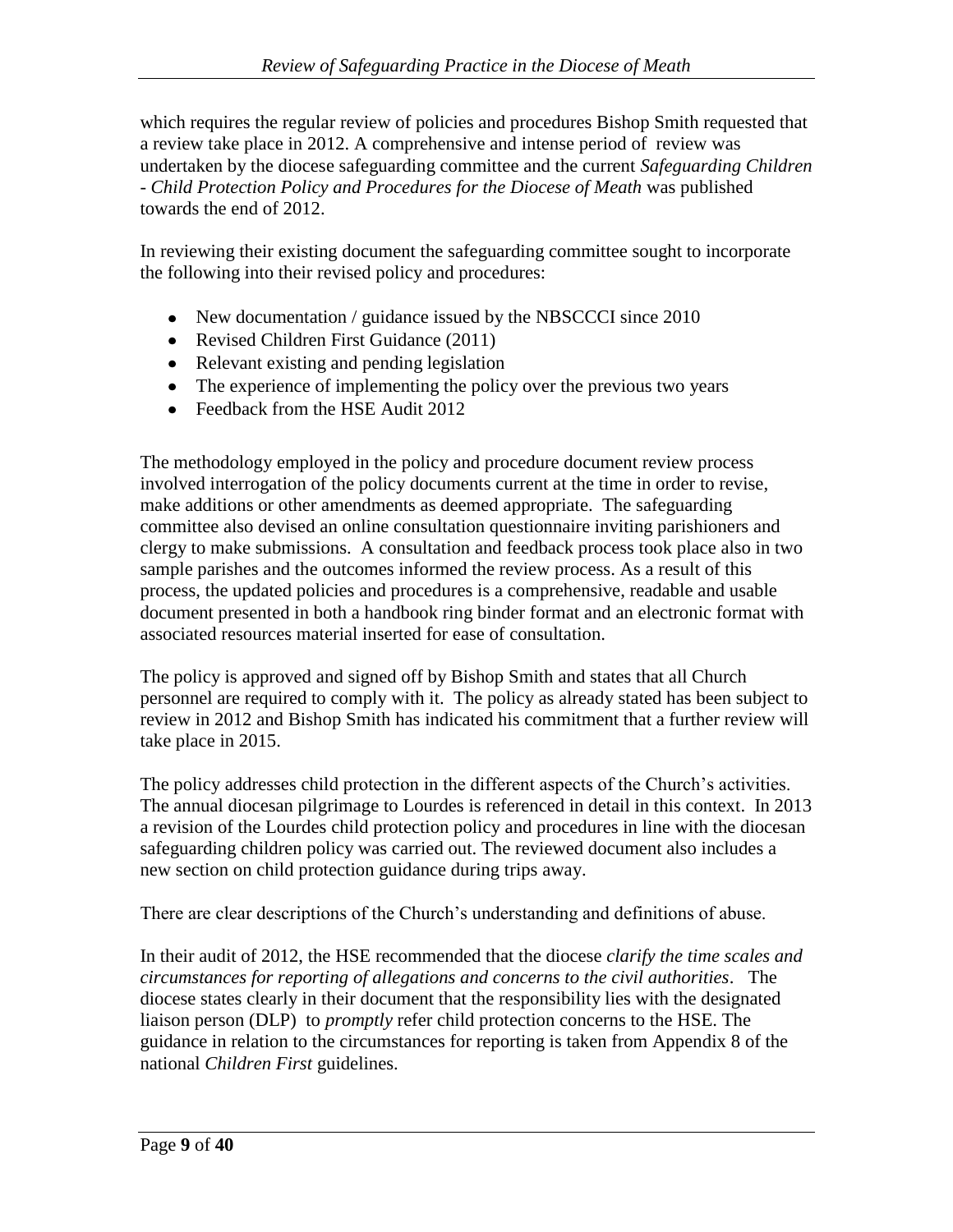which requires the regular review of policies and procedures Bishop Smith requested that a review take place in 2012. A comprehensive and intense period of review was undertaken by the diocese safeguarding committee and the current *Safeguarding Children* - *Child Protection Policy and Procedures for the Diocese of Meath* was published towards the end of 2012.

In reviewing their existing document the safeguarding committee sought to incorporate the following into their revised policy and procedures:

- New documentation / guidance issued by the NBSCCCI since 2010
- Revised Children First Guidance (2011)
- Relevant existing and pending legislation
- The experience of implementing the policy over the previous two years
- Feedback from the HSE Audit 2012

The methodology employed in the policy and procedure document review process involved interrogation of the policy documents current at the time in order to revise, make additions or other amendments as deemed appropriate. The safeguarding committee also devised an online consultation questionnaire inviting parishioners and clergy to make submissions. A consultation and feedback process took place also in two sample parishes and the outcomes informed the review process. As a result of this process, the updated policies and procedures is a comprehensive, readable and usable document presented in both a handbook ring binder format and an electronic format with associated resources material inserted for ease of consultation.

The policy is approved and signed off by Bishop Smith and states that all Church personnel are required to comply with it. The policy as already stated has been subject to review in 2012 and Bishop Smith has indicated his commitment that a further review will take place in 2015.

The policy addresses child protection in the different aspects of the Church's activities. The annual diocesan pilgrimage to Lourdes is referenced in detail in this context. In 2013 a revision of the Lourdes child protection policy and procedures in line with the diocesan safeguarding children policy was carried out. The reviewed document also includes a new section on child protection guidance during trips away.

There are clear descriptions of the Church's understanding and definitions of abuse.

In their audit of 2012, the HSE recommended that the diocese *clarify the time scales and circumstances for reporting of allegations and concerns to the civil authorities*. The diocese states clearly in their document that the responsibility lies with the designated liaison person (DLP) to *promptly* refer child protection concerns to the HSE. The guidance in relation to the circumstances for reporting is taken from Appendix 8 of the national *Children First* guidelines.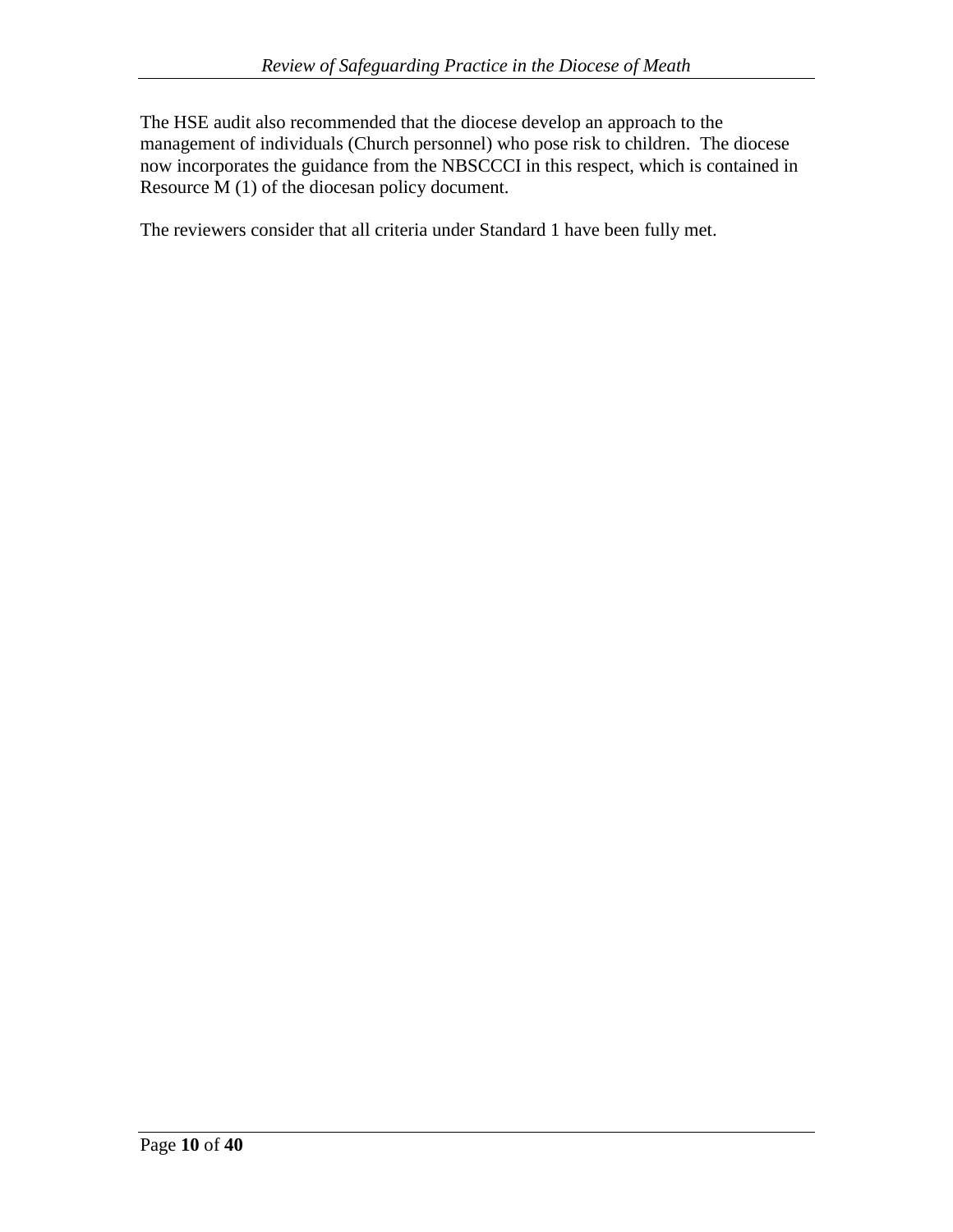The HSE audit also recommended that the diocese develop an approach to the management of individuals (Church personnel) who pose risk to children. The diocese now incorporates the guidance from the NBSCCCI in this respect, which is contained in Resource M (1) of the diocesan policy document.

The reviewers consider that all criteria under Standard 1 have been fully met.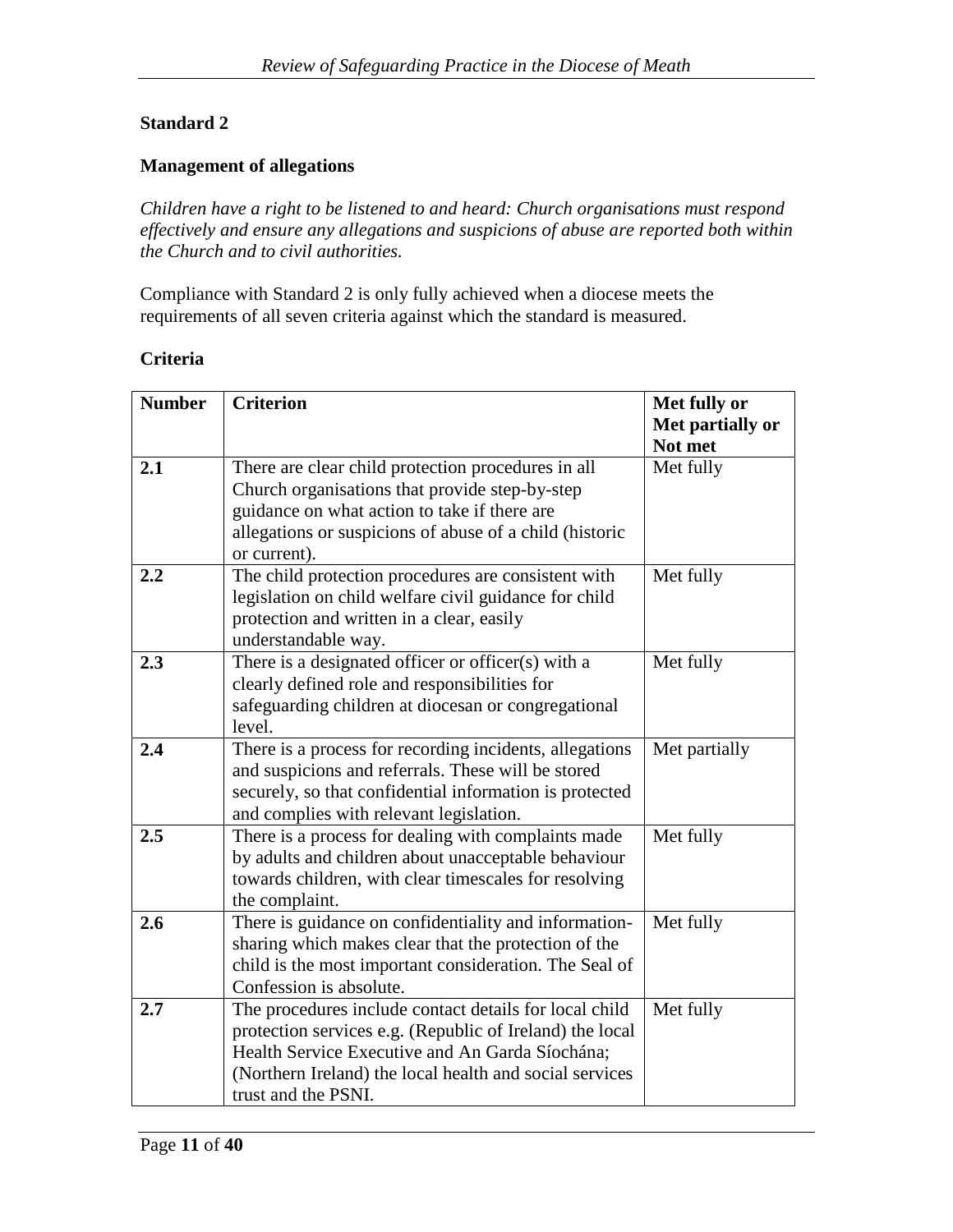# **Standard 2**

### **Management of allegations**

*Children have a right to be listened to and heard: Church organisations must respond effectively and ensure any allegations and suspicions of abuse are reported both within the Church and to civil authorities.*

Compliance with Standard 2 is only fully achieved when a diocese meets the requirements of all seven criteria against which the standard is measured.

#### **Criteria**

| <b>Number</b> | <b>Criterion</b>                                                        | Met fully or     |
|---------------|-------------------------------------------------------------------------|------------------|
|               |                                                                         | Met partially or |
|               |                                                                         | Not met          |
| 2.1           | There are clear child protection procedures in all                      | Met fully        |
|               | Church organisations that provide step-by-step                          |                  |
|               | guidance on what action to take if there are                            |                  |
|               | allegations or suspicions of abuse of a child (historic                 |                  |
|               | or current).                                                            |                  |
| 2.2           | The child protection procedures are consistent with                     | Met fully        |
|               | legislation on child welfare civil guidance for child                   |                  |
|               | protection and written in a clear, easily                               |                  |
|               | understandable way.                                                     |                  |
| 2.3           | There is a designated officer or officer(s) with a                      | Met fully        |
|               | clearly defined role and responsibilities for                           |                  |
|               | safeguarding children at diocesan or congregational                     |                  |
|               | level.                                                                  |                  |
| 2.4           | There is a process for recording incidents, allegations                 | Met partially    |
|               | and suspicions and referrals. These will be stored                      |                  |
|               | securely, so that confidential information is protected                 |                  |
|               | and complies with relevant legislation.                                 |                  |
| 2.5           | There is a process for dealing with complaints made                     | Met fully        |
|               | by adults and children about unacceptable behaviour                     |                  |
|               | towards children, with clear timescales for resolving                   |                  |
| 2.6           | the complaint.<br>There is guidance on confidentiality and information- | Met fully        |
|               | sharing which makes clear that the protection of the                    |                  |
|               | child is the most important consideration. The Seal of                  |                  |
|               | Confession is absolute.                                                 |                  |
| 2.7           | The procedures include contact details for local child                  | Met fully        |
|               | protection services e.g. (Republic of Ireland) the local                |                  |
|               | Health Service Executive and An Garda Síochána;                         |                  |
|               | (Northern Ireland) the local health and social services                 |                  |
|               | trust and the PSNI.                                                     |                  |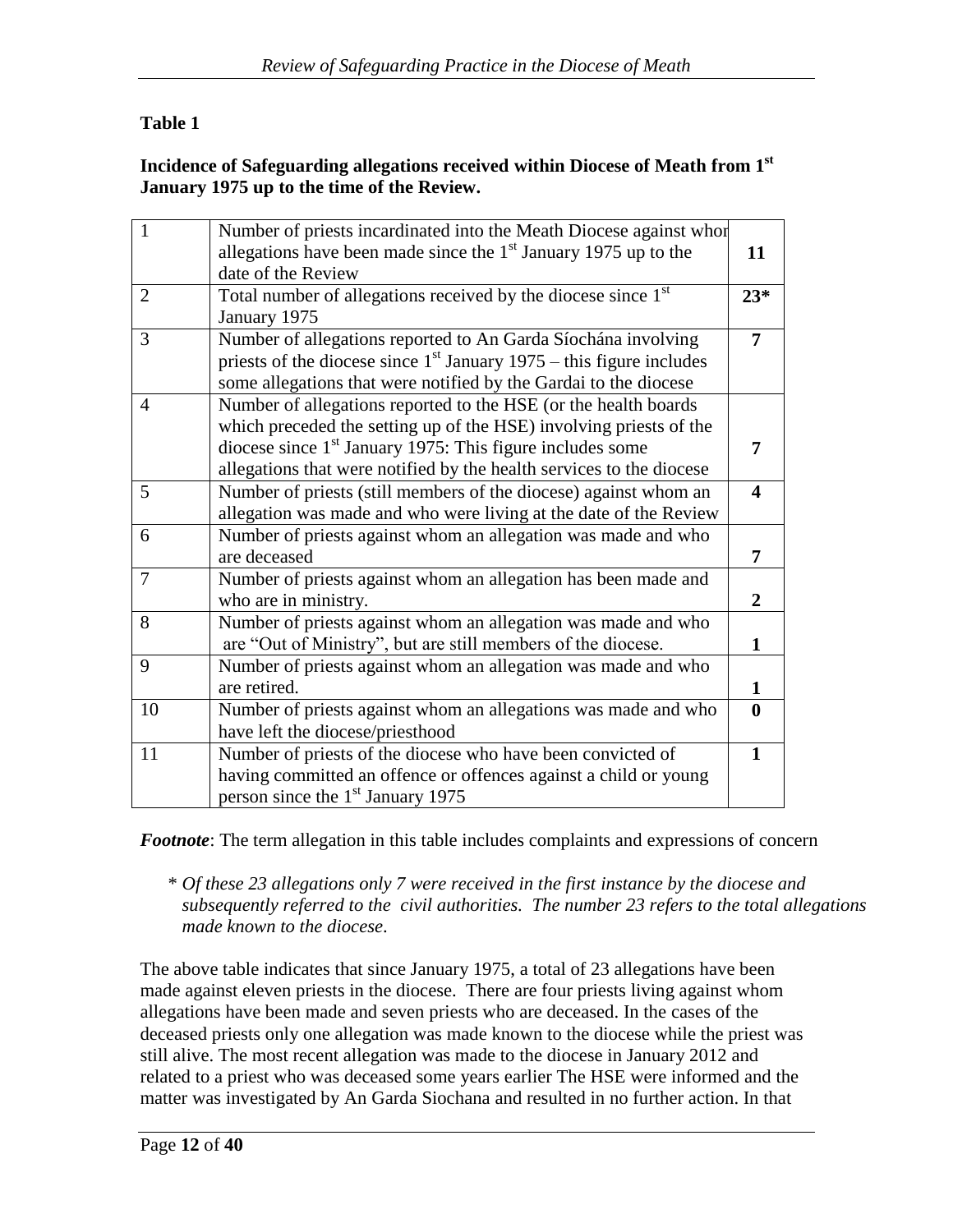# **Table 1**

#### **Incidence of Safeguarding allegations received within Diocese of Meath from 1st January 1975 up to the time of the Review.**

| $\mathbf{1}$   | Number of priests incardinated into the Meath Diocese against whore       |                         |
|----------------|---------------------------------------------------------------------------|-------------------------|
|                | allegations have been made since the $1st$ January 1975 up to the         | 11                      |
|                | date of the Review                                                        |                         |
| 2              | Total number of allegations received by the diocese since 1 <sup>st</sup> | $23*$                   |
|                | January 1975                                                              |                         |
| 3              | Number of allegations reported to An Garda Síochána involving             | $\overline{7}$          |
|                | priests of the diocese since $1st$ January 1975 – this figure includes    |                         |
|                | some allegations that were notified by the Gardai to the diocese          |                         |
| $\overline{4}$ | Number of allegations reported to the HSE (or the health boards           |                         |
|                | which preceded the setting up of the HSE) involving priests of the        |                         |
|                | diocese since $1st$ January 1975: This figure includes some               | 7                       |
|                | allegations that were notified by the health services to the diocese      |                         |
| 5              | Number of priests (still members of the diocese) against whom an          | $\overline{\mathbf{4}}$ |
|                | allegation was made and who were living at the date of the Review         |                         |
| 6              | Number of priests against whom an allegation was made and who             |                         |
|                | are deceased                                                              | 7                       |
| $\overline{7}$ | Number of priests against whom an allegation has been made and            |                         |
|                | who are in ministry.                                                      | $\overline{2}$          |
| 8              | Number of priests against whom an allegation was made and who             |                         |
|                | are "Out of Ministry", but are still members of the diocese.              | 1                       |
| 9              | Number of priests against whom an allegation was made and who             |                         |
|                | are retired.                                                              | 1                       |
| 10             | Number of priests against whom an allegations was made and who            | $\mathbf{0}$            |
|                | have left the diocese/priesthood                                          |                         |
| 11             | Number of priests of the diocese who have been convicted of               | $\mathbf{1}$            |
|                | having committed an offence or offences against a child or young          |                         |
|                | person since the 1 <sup>st</sup> January 1975                             |                         |

*Footnote*: The term allegation in this table includes complaints and expressions of concern

\* *Of these 23 allegations only 7 were received in the first instance by the diocese and subsequently referred to the civil authorities. The number 23 refers to the total allegations made known to the diocese*.

The above table indicates that since January 1975, a total of 23 allegations have been made against eleven priests in the diocese. There are four priests living against whom allegations have been made and seven priests who are deceased. In the cases of the deceased priests only one allegation was made known to the diocese while the priest was still alive. The most recent allegation was made to the diocese in January 2012 and related to a priest who was deceased some years earlier The HSE were informed and the matter was investigated by An Garda Siochana and resulted in no further action. In that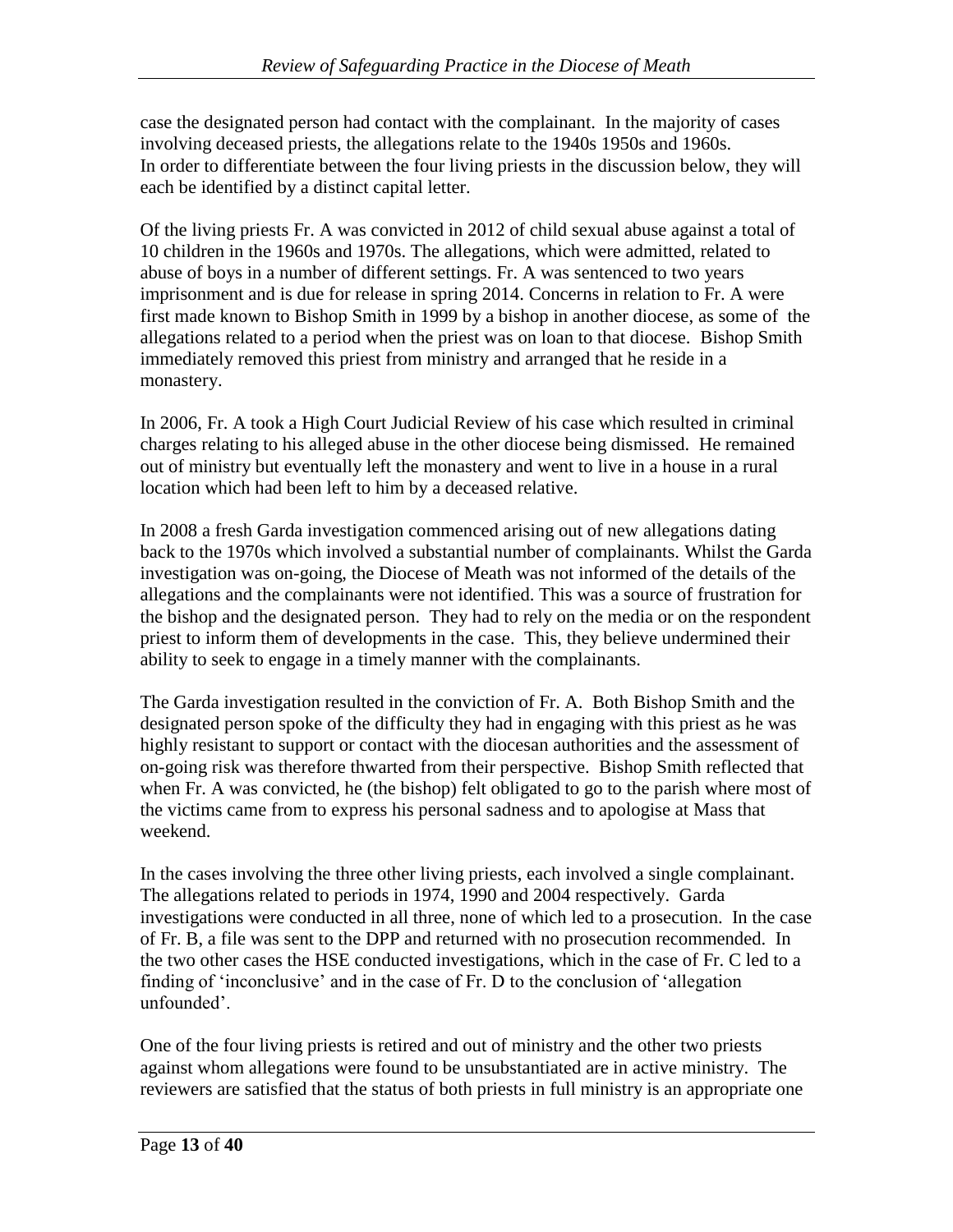case the designated person had contact with the complainant. In the majority of cases involving deceased priests, the allegations relate to the 1940s 1950s and 1960s. In order to differentiate between the four living priests in the discussion below, they will each be identified by a distinct capital letter.

Of the living priests Fr. A was convicted in 2012 of child sexual abuse against a total of 10 children in the 1960s and 1970s. The allegations, which were admitted, related to abuse of boys in a number of different settings. Fr. A was sentenced to two years imprisonment and is due for release in spring 2014. Concerns in relation to Fr. A were first made known to Bishop Smith in 1999 by a bishop in another diocese, as some of the allegations related to a period when the priest was on loan to that diocese. Bishop Smith immediately removed this priest from ministry and arranged that he reside in a monastery.

In 2006, Fr. A took a High Court Judicial Review of his case which resulted in criminal charges relating to his alleged abuse in the other diocese being dismissed. He remained out of ministry but eventually left the monastery and went to live in a house in a rural location which had been left to him by a deceased relative.

In 2008 a fresh Garda investigation commenced arising out of new allegations dating back to the 1970s which involved a substantial number of complainants. Whilst the Garda investigation was on-going, the Diocese of Meath was not informed of the details of the allegations and the complainants were not identified. This was a source of frustration for the bishop and the designated person. They had to rely on the media or on the respondent priest to inform them of developments in the case. This, they believe undermined their ability to seek to engage in a timely manner with the complainants.

The Garda investigation resulted in the conviction of Fr. A. Both Bishop Smith and the designated person spoke of the difficulty they had in engaging with this priest as he was highly resistant to support or contact with the diocesan authorities and the assessment of on-going risk was therefore thwarted from their perspective. Bishop Smith reflected that when Fr. A was convicted, he (the bishop) felt obligated to go to the parish where most of the victims came from to express his personal sadness and to apologise at Mass that weekend.

In the cases involving the three other living priests, each involved a single complainant. The allegations related to periods in 1974, 1990 and 2004 respectively. Garda investigations were conducted in all three, none of which led to a prosecution. In the case of Fr. B, a file was sent to the DPP and returned with no prosecution recommended. In the two other cases the HSE conducted investigations, which in the case of Fr. C led to a finding of 'inconclusive' and in the case of Fr. D to the conclusion of 'allegation unfounded'.

One of the four living priests is retired and out of ministry and the other two priests against whom allegations were found to be unsubstantiated are in active ministry. The reviewers are satisfied that the status of both priests in full ministry is an appropriate one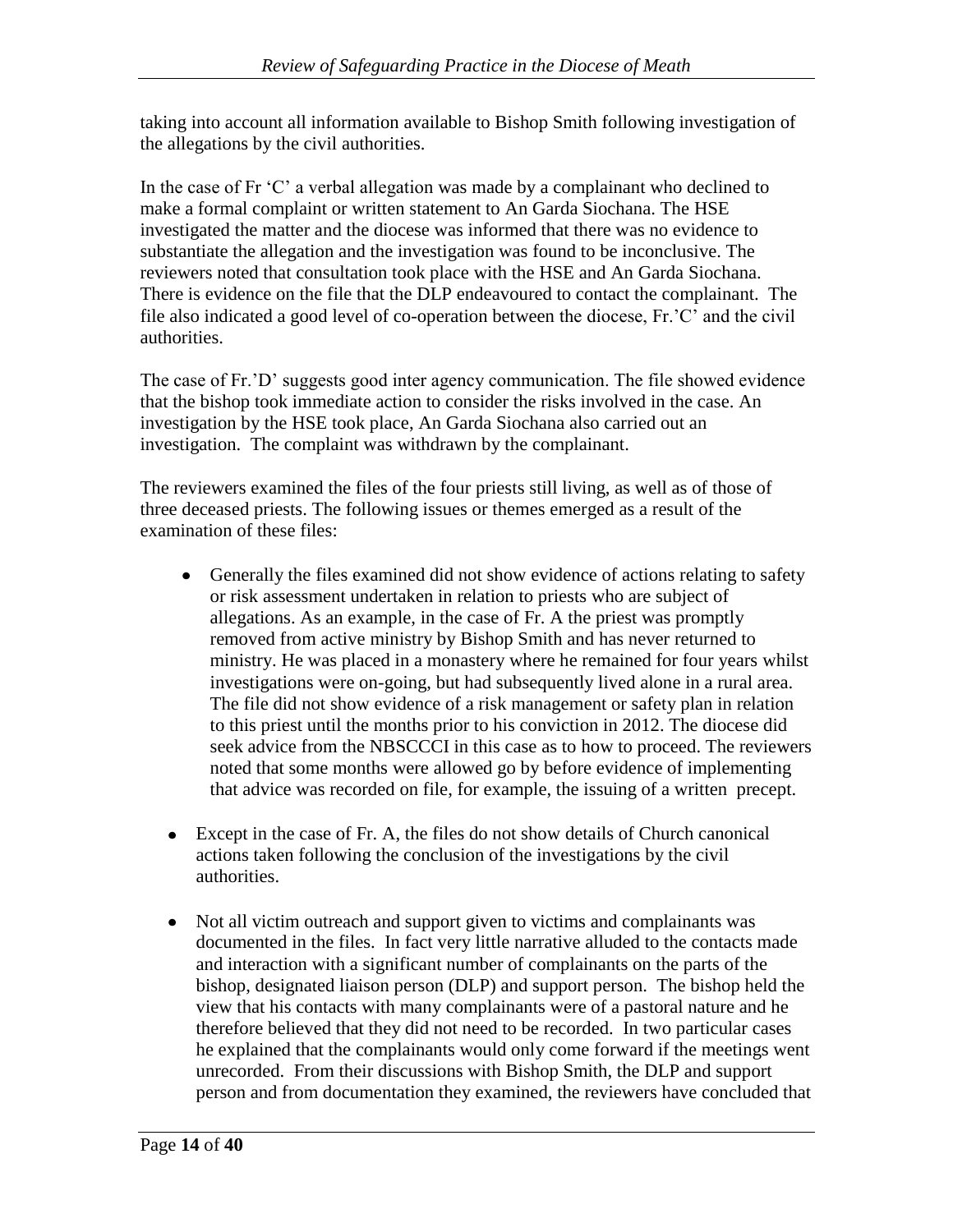taking into account all information available to Bishop Smith following investigation of the allegations by the civil authorities.

In the case of Fr 'C' a verbal allegation was made by a complainant who declined to make a formal complaint or written statement to An Garda Siochana. The HSE investigated the matter and the diocese was informed that there was no evidence to substantiate the allegation and the investigation was found to be inconclusive. The reviewers noted that consultation took place with the HSE and An Garda Siochana. There is evidence on the file that the DLP endeavoured to contact the complainant. The file also indicated a good level of co-operation between the diocese, Fr.'C' and the civil authorities.

The case of Fr.'D' suggests good inter agency communication. The file showed evidence that the bishop took immediate action to consider the risks involved in the case. An investigation by the HSE took place, An Garda Siochana also carried out an investigation. The complaint was withdrawn by the complainant.

The reviewers examined the files of the four priests still living, as well as of those of three deceased priests. The following issues or themes emerged as a result of the examination of these files:

- Generally the files examined did not show evidence of actions relating to safety or risk assessment undertaken in relation to priests who are subject of allegations. As an example, in the case of Fr. A the priest was promptly removed from active ministry by Bishop Smith and has never returned to ministry. He was placed in a monastery where he remained for four years whilst investigations were on-going, but had subsequently lived alone in a rural area. The file did not show evidence of a risk management or safety plan in relation to this priest until the months prior to his conviction in 2012. The diocese did seek advice from the NBSCCCI in this case as to how to proceed. The reviewers noted that some months were allowed go by before evidence of implementing that advice was recorded on file, for example, the issuing of a written precept.
- Except in the case of Fr. A, the files do not show details of Church canonical actions taken following the conclusion of the investigations by the civil authorities.
- Not all victim outreach and support given to victims and complainants was  $\bullet$ documented in the files. In fact very little narrative alluded to the contacts made and interaction with a significant number of complainants on the parts of the bishop, designated liaison person (DLP) and support person. The bishop held the view that his contacts with many complainants were of a pastoral nature and he therefore believed that they did not need to be recorded. In two particular cases he explained that the complainants would only come forward if the meetings went unrecorded. From their discussions with Bishop Smith, the DLP and support person and from documentation they examined, the reviewers have concluded that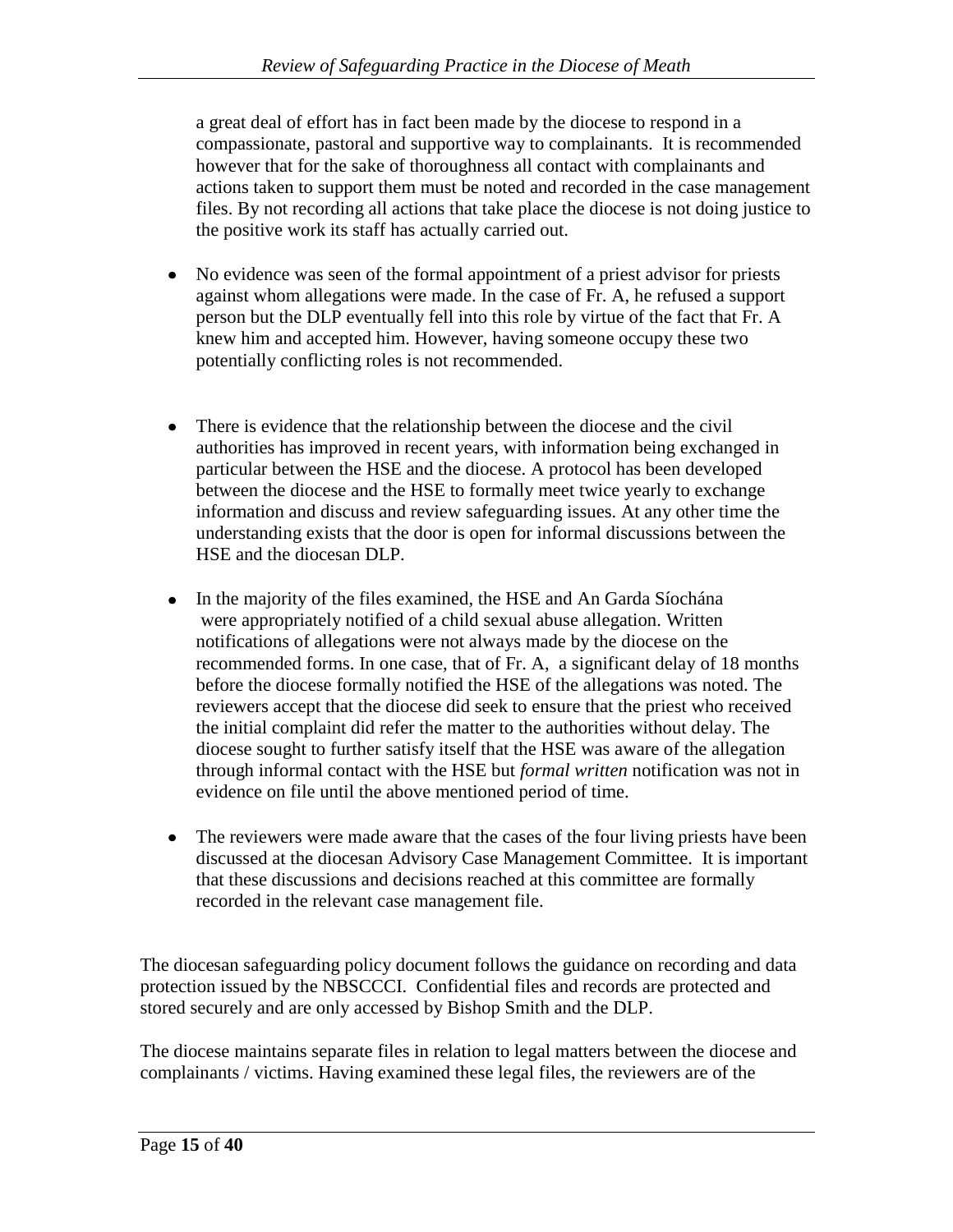a great deal of effort has in fact been made by the diocese to respond in a compassionate, pastoral and supportive way to complainants. It is recommended however that for the sake of thoroughness all contact with complainants and actions taken to support them must be noted and recorded in the case management files. By not recording all actions that take place the diocese is not doing justice to the positive work its staff has actually carried out.

- No evidence was seen of the formal appointment of a priest advisor for priests  $\bullet$ against whom allegations were made. In the case of Fr. A, he refused a support person but the DLP eventually fell into this role by virtue of the fact that Fr. A knew him and accepted him. However, having someone occupy these two potentially conflicting roles is not recommended.
- There is evidence that the relationship between the diocese and the civil authorities has improved in recent years, with information being exchanged in particular between the HSE and the diocese. A protocol has been developed between the diocese and the HSE to formally meet twice yearly to exchange information and discuss and review safeguarding issues. At any other time the understanding exists that the door is open for informal discussions between the HSE and the diocesan DLP.
- $\bullet$ In the majority of the files examined, the HSE and An Garda Síochána were appropriately notified of a child sexual abuse allegation. Written notifications of allegations were not always made by the diocese on the recommended forms. In one case, that of Fr. A, a significant delay of 18 months before the diocese formally notified the HSE of the allegations was noted. The reviewers accept that the diocese did seek to ensure that the priest who received the initial complaint did refer the matter to the authorities without delay. The diocese sought to further satisfy itself that the HSE was aware of the allegation through informal contact with the HSE but *formal written* notification was not in evidence on file until the above mentioned period of time.
- The reviewers were made aware that the cases of the four living priests have been discussed at the diocesan Advisory Case Management Committee. It is important that these discussions and decisions reached at this committee are formally recorded in the relevant case management file.

The diocesan safeguarding policy document follows the guidance on recording and data protection issued by the NBSCCCI. Confidential files and records are protected and stored securely and are only accessed by Bishop Smith and the DLP.

The diocese maintains separate files in relation to legal matters between the diocese and complainants / victims. Having examined these legal files, the reviewers are of the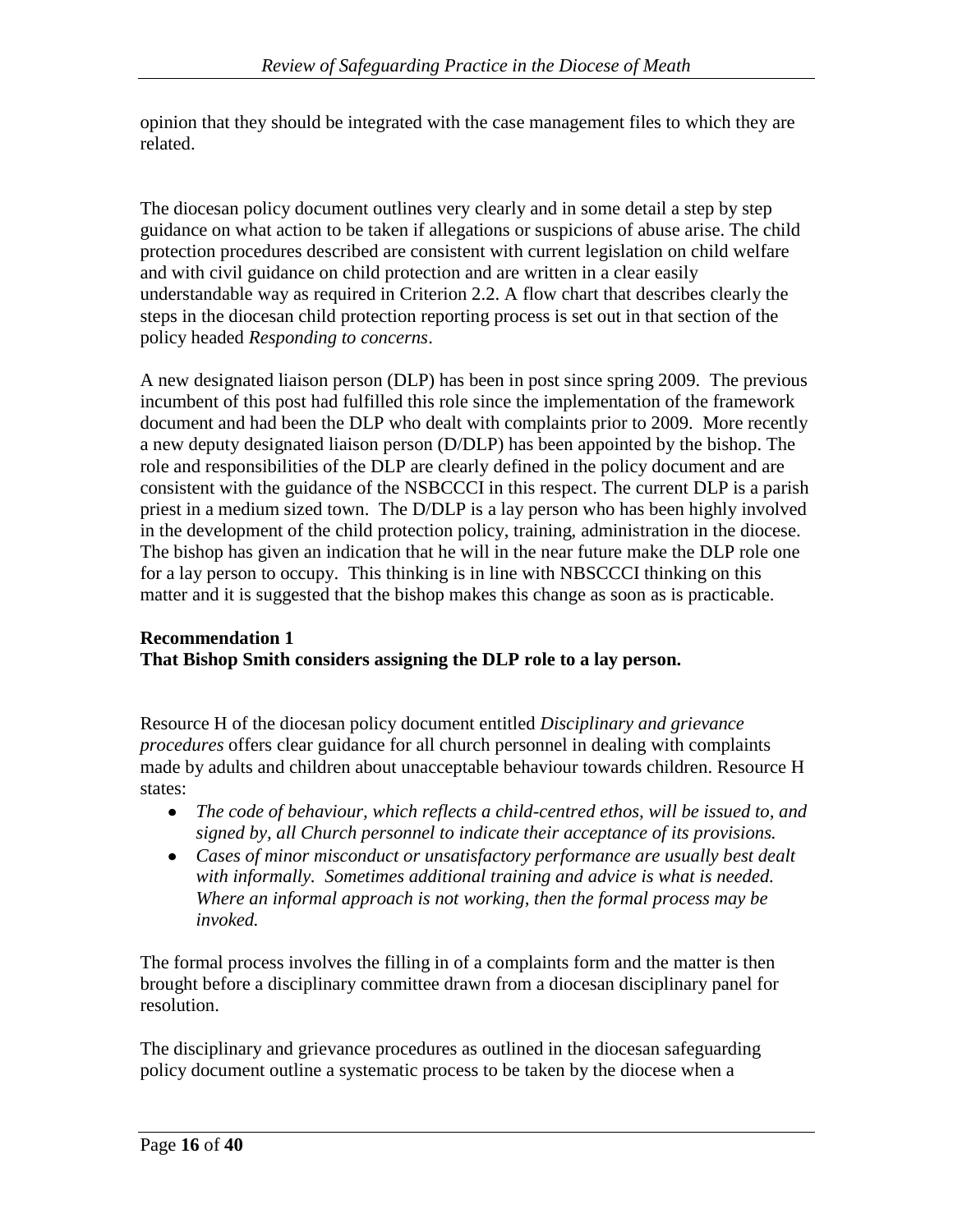opinion that they should be integrated with the case management files to which they are related.

The diocesan policy document outlines very clearly and in some detail a step by step guidance on what action to be taken if allegations or suspicions of abuse arise. The child protection procedures described are consistent with current legislation on child welfare and with civil guidance on child protection and are written in a clear easily understandable way as required in Criterion 2.2. A flow chart that describes clearly the steps in the diocesan child protection reporting process is set out in that section of the policy headed *Responding to concerns*.

A new designated liaison person (DLP) has been in post since spring 2009. The previous incumbent of this post had fulfilled this role since the implementation of the framework document and had been the DLP who dealt with complaints prior to 2009. More recently a new deputy designated liaison person (D/DLP) has been appointed by the bishop. The role and responsibilities of the DLP are clearly defined in the policy document and are consistent with the guidance of the NSBCCCI in this respect. The current DLP is a parish priest in a medium sized town. The D/DLP is a lay person who has been highly involved in the development of the child protection policy, training, administration in the diocese. The bishop has given an indication that he will in the near future make the DLP role one for a lay person to occupy. This thinking is in line with NBSCCCI thinking on this matter and it is suggested that the bishop makes this change as soon as is practicable.

#### **Recommendation 1 That Bishop Smith considers assigning the DLP role to a lay person.**

Resource H of the diocesan policy document entitled *Disciplinary and grievance procedures* offers clear guidance for all church personnel in dealing with complaints made by adults and children about unacceptable behaviour towards children. Resource H states:

- *The code of behaviour, which reflects a child-centred ethos, will be issued to, and signed by, all Church personnel to indicate their acceptance of its provisions.*
- *Cases of minor misconduct or unsatisfactory performance are usually best dealt with informally. Sometimes additional training and advice is what is needed. Where an informal approach is not working, then the formal process may be invoked.*

The formal process involves the filling in of a complaints form and the matter is then brought before a disciplinary committee drawn from a diocesan disciplinary panel for resolution.

The disciplinary and grievance procedures as outlined in the diocesan safeguarding policy document outline a systematic process to be taken by the diocese when a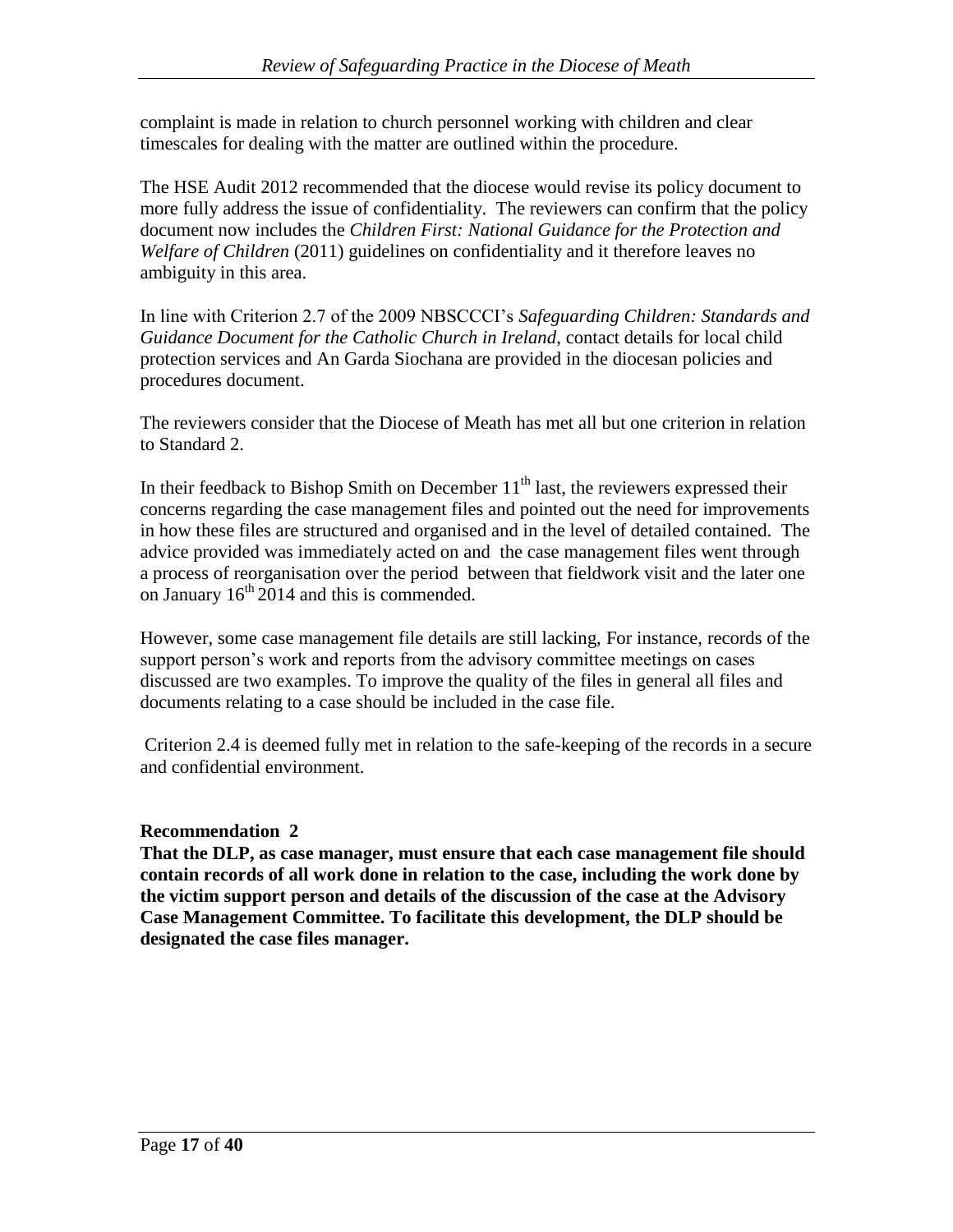complaint is made in relation to church personnel working with children and clear timescales for dealing with the matter are outlined within the procedure.

The HSE Audit 2012 recommended that the diocese would revise its policy document to more fully address the issue of confidentiality. The reviewers can confirm that the policy document now includes the *Children First: National Guidance for the Protection and Welfare of Children* (2011) guidelines on confidentiality and it therefore leaves no ambiguity in this area.

In line with Criterion 2.7 of the 2009 NBSCCCI's *Safeguarding Children: Standards and Guidance Document for the Catholic Church in Ireland*, contact details for local child protection services and An Garda Siochana are provided in the diocesan policies and procedures document.

The reviewers consider that the Diocese of Meath has met all but one criterion in relation to Standard 2.

In their feedback to Bishop Smith on December  $11<sup>th</sup>$  last, the reviewers expressed their concerns regarding the case management files and pointed out the need for improvements in how these files are structured and organised and in the level of detailed contained. The advice provided was immediately acted on and the case management files went through a process of reorganisation over the period between that fieldwork visit and the later one on January  $16<sup>th</sup>$  2014 and this is commended.

However, some case management file details are still lacking, For instance, records of the support person's work and reports from the advisory committee meetings on cases discussed are two examples. To improve the quality of the files in general all files and documents relating to a case should be included in the case file.

Criterion 2.4 is deemed fully met in relation to the safe-keeping of the records in a secure and confidential environment.

## **Recommendation 2**

**That the DLP, as case manager, must ensure that each case management file should contain records of all work done in relation to the case, including the work done by the victim support person and details of the discussion of the case at the Advisory Case Management Committee. To facilitate this development, the DLP should be designated the case files manager.**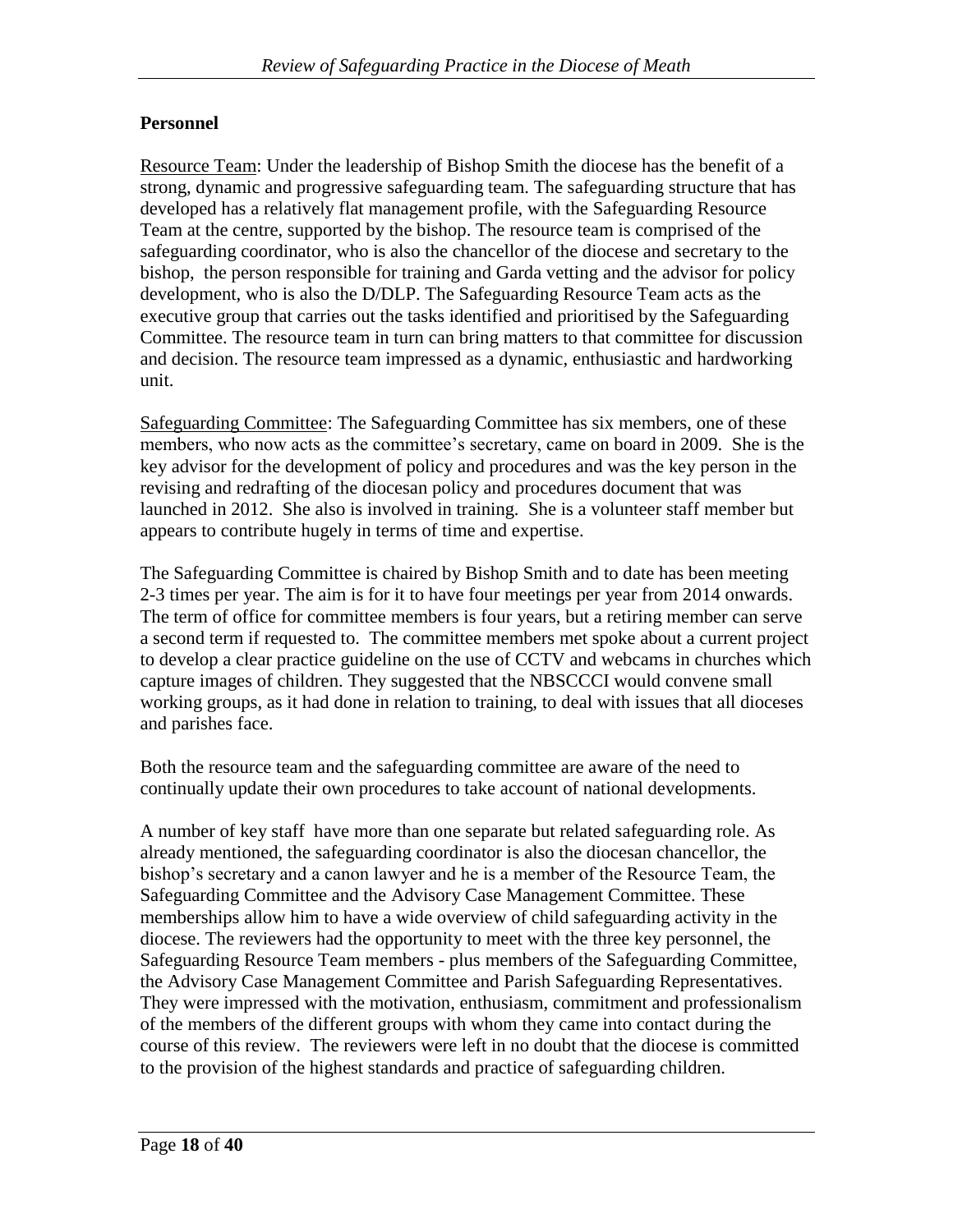## **Personnel**

Resource Team: Under the leadership of Bishop Smith the diocese has the benefit of a strong, dynamic and progressive safeguarding team. The safeguarding structure that has developed has a relatively flat management profile, with the Safeguarding Resource Team at the centre, supported by the bishop. The resource team is comprised of the safeguarding coordinator, who is also the chancellor of the diocese and secretary to the bishop, the person responsible for training and Garda vetting and the advisor for policy development, who is also the D/DLP. The Safeguarding Resource Team acts as the executive group that carries out the tasks identified and prioritised by the Safeguarding Committee. The resource team in turn can bring matters to that committee for discussion and decision. The resource team impressed as a dynamic, enthusiastic and hardworking unit.

Safeguarding Committee: The Safeguarding Committee has six members, one of these members, who now acts as the committee's secretary, came on board in 2009. She is the key advisor for the development of policy and procedures and was the key person in the revising and redrafting of the diocesan policy and procedures document that was launched in 2012. She also is involved in training. She is a volunteer staff member but appears to contribute hugely in terms of time and expertise.

The Safeguarding Committee is chaired by Bishop Smith and to date has been meeting 2-3 times per year. The aim is for it to have four meetings per year from 2014 onwards. The term of office for committee members is four years, but a retiring member can serve a second term if requested to. The committee members met spoke about a current project to develop a clear practice guideline on the use of CCTV and webcams in churches which capture images of children. They suggested that the NBSCCCI would convene small working groups, as it had done in relation to training, to deal with issues that all dioceses and parishes face.

Both the resource team and the safeguarding committee are aware of the need to continually update their own procedures to take account of national developments.

A number of key staff have more than one separate but related safeguarding role. As already mentioned, the safeguarding coordinator is also the diocesan chancellor, the bishop's secretary and a canon lawyer and he is a member of the Resource Team, the Safeguarding Committee and the Advisory Case Management Committee. These memberships allow him to have a wide overview of child safeguarding activity in the diocese. The reviewers had the opportunity to meet with the three key personnel, the Safeguarding Resource Team members - plus members of the Safeguarding Committee, the Advisory Case Management Committee and Parish Safeguarding Representatives. They were impressed with the motivation, enthusiasm, commitment and professionalism of the members of the different groups with whom they came into contact during the course of this review. The reviewers were left in no doubt that the diocese is committed to the provision of the highest standards and practice of safeguarding children.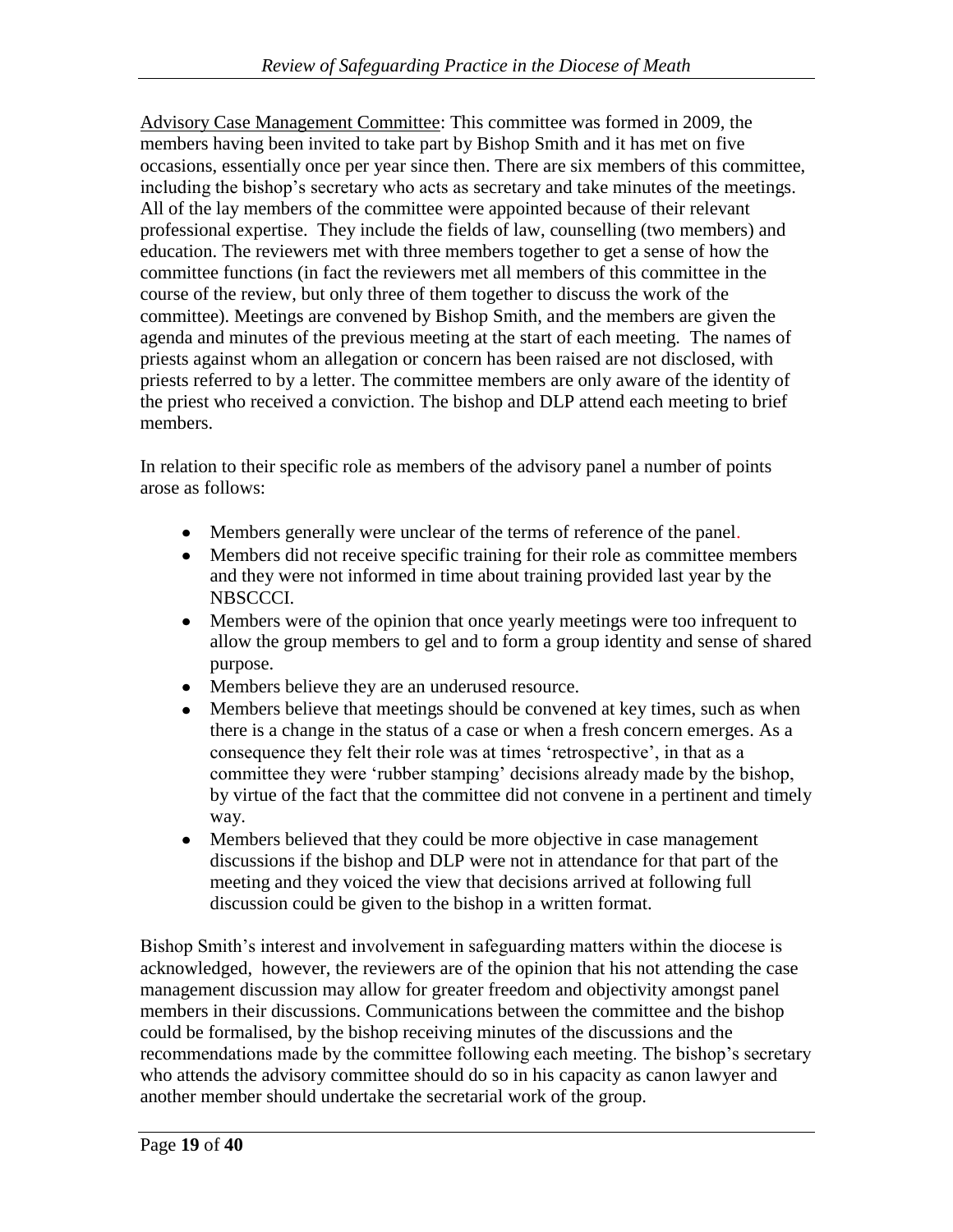Advisory Case Management Committee: This committee was formed in 2009, the members having been invited to take part by Bishop Smith and it has met on five occasions, essentially once per year since then. There are six members of this committee, including the bishop's secretary who acts as secretary and take minutes of the meetings. All of the lay members of the committee were appointed because of their relevant professional expertise. They include the fields of law, counselling (two members) and education. The reviewers met with three members together to get a sense of how the committee functions (in fact the reviewers met all members of this committee in the course of the review, but only three of them together to discuss the work of the committee). Meetings are convened by Bishop Smith, and the members are given the agenda and minutes of the previous meeting at the start of each meeting. The names of priests against whom an allegation or concern has been raised are not disclosed, with priests referred to by a letter. The committee members are only aware of the identity of the priest who received a conviction. The bishop and DLP attend each meeting to brief members.

In relation to their specific role as members of the advisory panel a number of points arose as follows:

- Members generally were unclear of the terms of reference of the panel.
- Members did not receive specific training for their role as committee members and they were not informed in time about training provided last year by the NBSCCCI.
- Members were of the opinion that once yearly meetings were too infrequent to allow the group members to gel and to form a group identity and sense of shared purpose.
- Members believe they are an underused resource.
- Members believe that meetings should be convened at key times, such as when there is a change in the status of a case or when a fresh concern emerges. As a consequence they felt their role was at times 'retrospective', in that as a committee they were 'rubber stamping' decisions already made by the bishop, by virtue of the fact that the committee did not convene in a pertinent and timely way.
- Members believed that they could be more objective in case management discussions if the bishop and DLP were not in attendance for that part of the meeting and they voiced the view that decisions arrived at following full discussion could be given to the bishop in a written format.

Bishop Smith's interest and involvement in safeguarding matters within the diocese is acknowledged, however, the reviewers are of the opinion that his not attending the case management discussion may allow for greater freedom and objectivity amongst panel members in their discussions. Communications between the committee and the bishop could be formalised, by the bishop receiving minutes of the discussions and the recommendations made by the committee following each meeting. The bishop's secretary who attends the advisory committee should do so in his capacity as canon lawyer and another member should undertake the secretarial work of the group.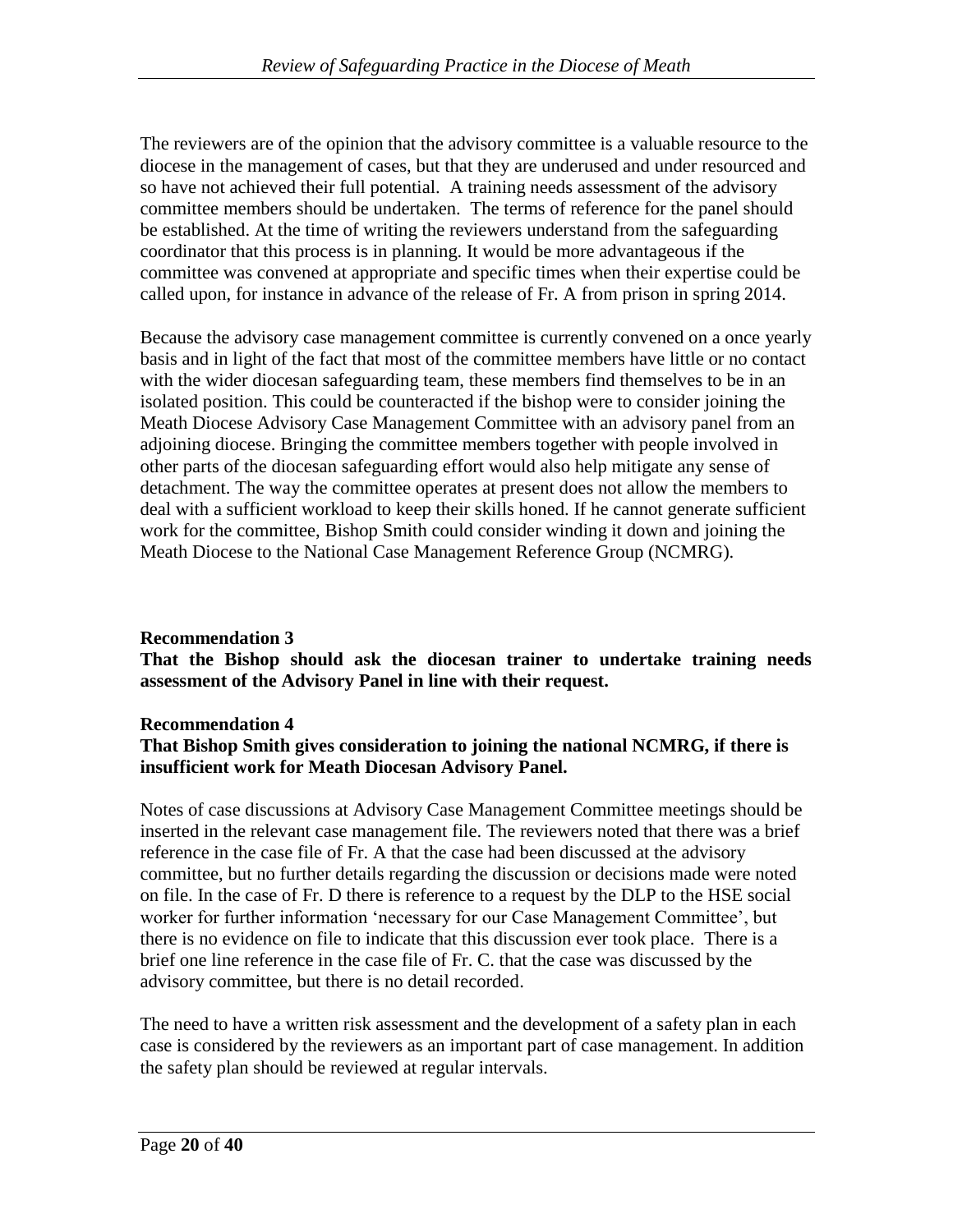The reviewers are of the opinion that the advisory committee is a valuable resource to the diocese in the management of cases, but that they are underused and under resourced and so have not achieved their full potential. A training needs assessment of the advisory committee members should be undertaken. The terms of reference for the panel should be established. At the time of writing the reviewers understand from the safeguarding coordinator that this process is in planning. It would be more advantageous if the committee was convened at appropriate and specific times when their expertise could be called upon, for instance in advance of the release of Fr. A from prison in spring 2014.

Because the advisory case management committee is currently convened on a once yearly basis and in light of the fact that most of the committee members have little or no contact with the wider diocesan safeguarding team, these members find themselves to be in an isolated position. This could be counteracted if the bishop were to consider joining the Meath Diocese Advisory Case Management Committee with an advisory panel from an adjoining diocese. Bringing the committee members together with people involved in other parts of the diocesan safeguarding effort would also help mitigate any sense of detachment. The way the committee operates at present does not allow the members to deal with a sufficient workload to keep their skills honed. If he cannot generate sufficient work for the committee, Bishop Smith could consider winding it down and joining the Meath Diocese to the National Case Management Reference Group (NCMRG).

#### **Recommendation 3**

**That the Bishop should ask the diocesan trainer to undertake training needs assessment of the Advisory Panel in line with their request.**

#### **Recommendation 4**

#### **That Bishop Smith gives consideration to joining the national NCMRG, if there is insufficient work for Meath Diocesan Advisory Panel.**

Notes of case discussions at Advisory Case Management Committee meetings should be inserted in the relevant case management file. The reviewers noted that there was a brief reference in the case file of Fr. A that the case had been discussed at the advisory committee, but no further details regarding the discussion or decisions made were noted on file. In the case of Fr. D there is reference to a request by the DLP to the HSE social worker for further information 'necessary for our Case Management Committee', but there is no evidence on file to indicate that this discussion ever took place. There is a brief one line reference in the case file of Fr. C. that the case was discussed by the advisory committee, but there is no detail recorded.

The need to have a written risk assessment and the development of a safety plan in each case is considered by the reviewers as an important part of case management. In addition the safety plan should be reviewed at regular intervals.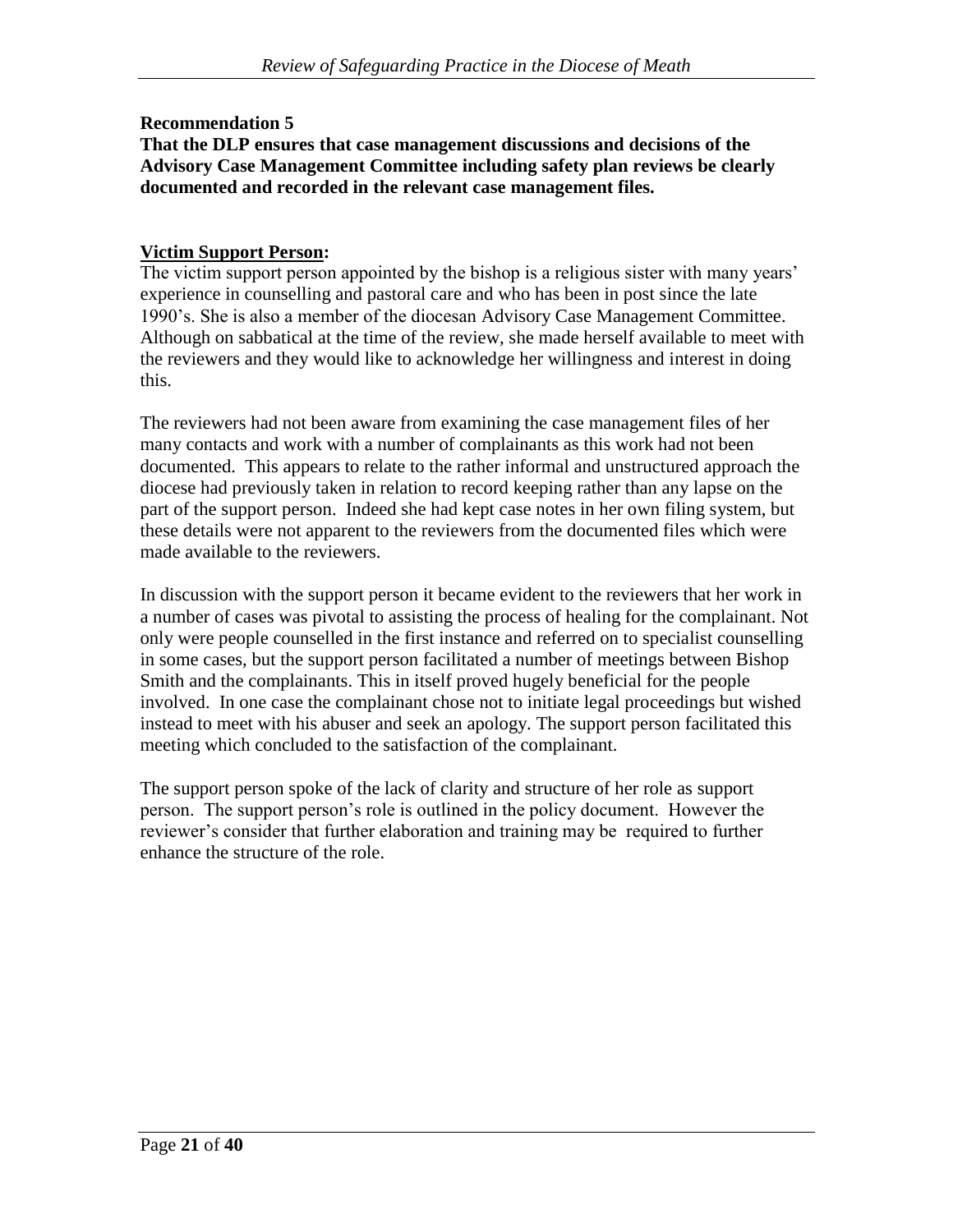#### **Recommendation 5**

#### **That the DLP ensures that case management discussions and decisions of the Advisory Case Management Committee including safety plan reviews be clearly documented and recorded in the relevant case management files.**

### **Victim Support Person:**

The victim support person appointed by the bishop is a religious sister with many years' experience in counselling and pastoral care and who has been in post since the late 1990's. She is also a member of the diocesan Advisory Case Management Committee. Although on sabbatical at the time of the review, she made herself available to meet with the reviewers and they would like to acknowledge her willingness and interest in doing this.

The reviewers had not been aware from examining the case management files of her many contacts and work with a number of complainants as this work had not been documented. This appears to relate to the rather informal and unstructured approach the diocese had previously taken in relation to record keeping rather than any lapse on the part of the support person. Indeed she had kept case notes in her own filing system, but these details were not apparent to the reviewers from the documented files which were made available to the reviewers.

In discussion with the support person it became evident to the reviewers that her work in a number of cases was pivotal to assisting the process of healing for the complainant. Not only were people counselled in the first instance and referred on to specialist counselling in some cases, but the support person facilitated a number of meetings between Bishop Smith and the complainants. This in itself proved hugely beneficial for the people involved. In one case the complainant chose not to initiate legal proceedings but wished instead to meet with his abuser and seek an apology. The support person facilitated this meeting which concluded to the satisfaction of the complainant.

The support person spoke of the lack of clarity and structure of her role as support person. The support person's role is outlined in the policy document. However the reviewer's consider that further elaboration and training may be required to further enhance the structure of the role.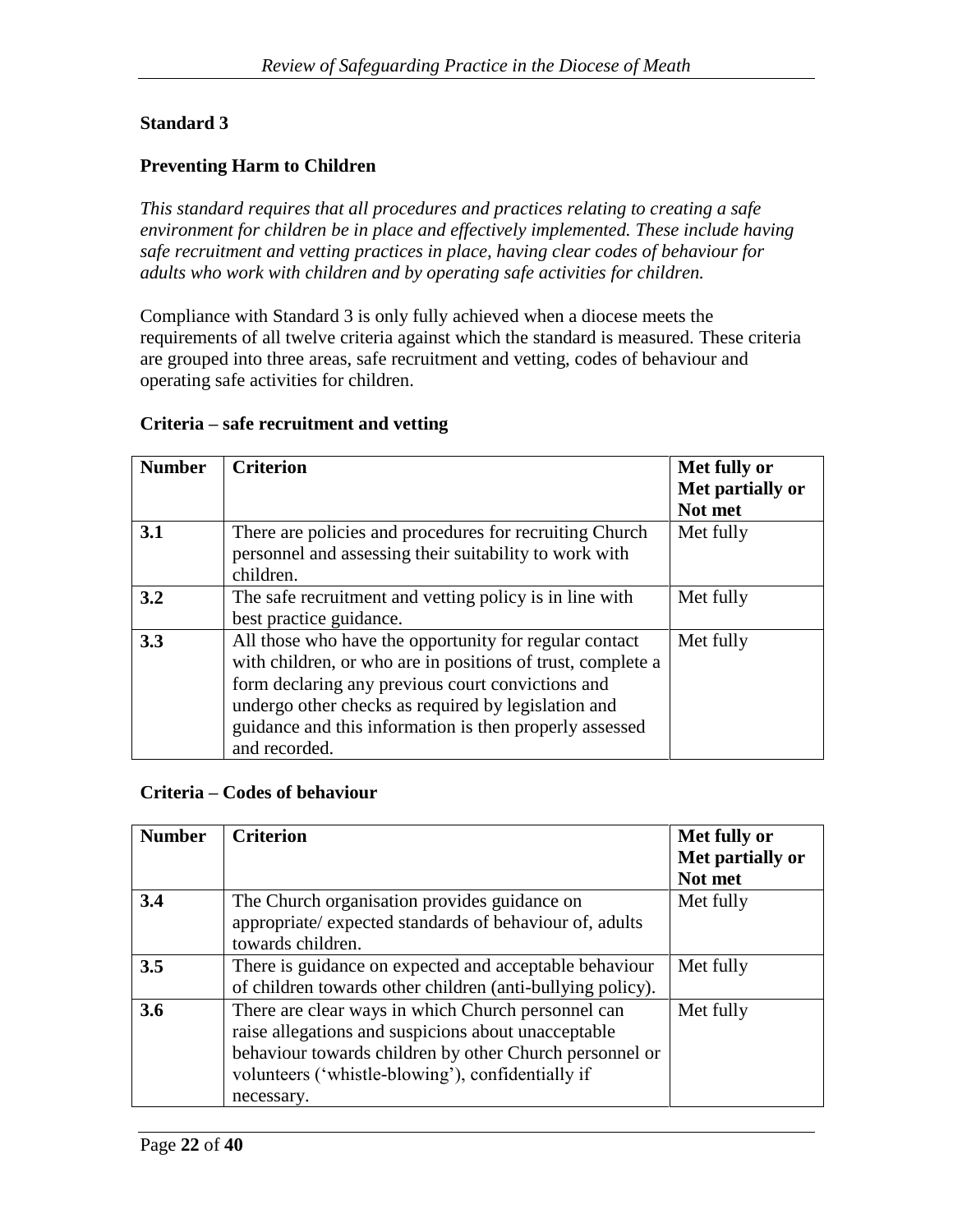# **Standard 3**

### **Preventing Harm to Children**

*This standard requires that all procedures and practices relating to creating a safe environment for children be in place and effectively implemented. These include having safe recruitment and vetting practices in place, having clear codes of behaviour for adults who work with children and by operating safe activities for children.*

Compliance with Standard 3 is only fully achieved when a diocese meets the requirements of all twelve criteria against which the standard is measured. These criteria are grouped into three areas, safe recruitment and vetting, codes of behaviour and operating safe activities for children.

#### **Criteria – safe recruitment and vetting**

| <b>Number</b> | <b>Criterion</b>                                                                                                                                                                                                                                                                                              | Met fully or<br>Met partially or<br>Not met |
|---------------|---------------------------------------------------------------------------------------------------------------------------------------------------------------------------------------------------------------------------------------------------------------------------------------------------------------|---------------------------------------------|
| 3.1           | There are policies and procedures for recruiting Church<br>personnel and assessing their suitability to work with<br>children.                                                                                                                                                                                | Met fully                                   |
| 3.2           | The safe recruitment and vetting policy is in line with<br>best practice guidance.                                                                                                                                                                                                                            | Met fully                                   |
| 3.3           | All those who have the opportunity for regular contact<br>with children, or who are in positions of trust, complete a<br>form declaring any previous court convictions and<br>undergo other checks as required by legislation and<br>guidance and this information is then properly assessed<br>and recorded. | Met fully                                   |

#### **Criteria – Codes of behaviour**

| <b>Number</b> | <b>Criterion</b>                                           | Met fully or     |
|---------------|------------------------------------------------------------|------------------|
|               |                                                            | Met partially or |
|               |                                                            | Not met          |
| 3.4           | The Church organisation provides guidance on               | Met fully        |
|               | appropriate/ expected standards of behaviour of, adults    |                  |
|               | towards children.                                          |                  |
| 3.5           | There is guidance on expected and acceptable behaviour     | Met fully        |
|               | of children towards other children (anti-bullying policy). |                  |
| 3.6           | There are clear ways in which Church personnel can         | Met fully        |
|               | raise allegations and suspicions about unacceptable        |                  |
|               | behaviour towards children by other Church personnel or    |                  |
|               | volunteers ('whistle-blowing'), confidentially if          |                  |
|               | necessary.                                                 |                  |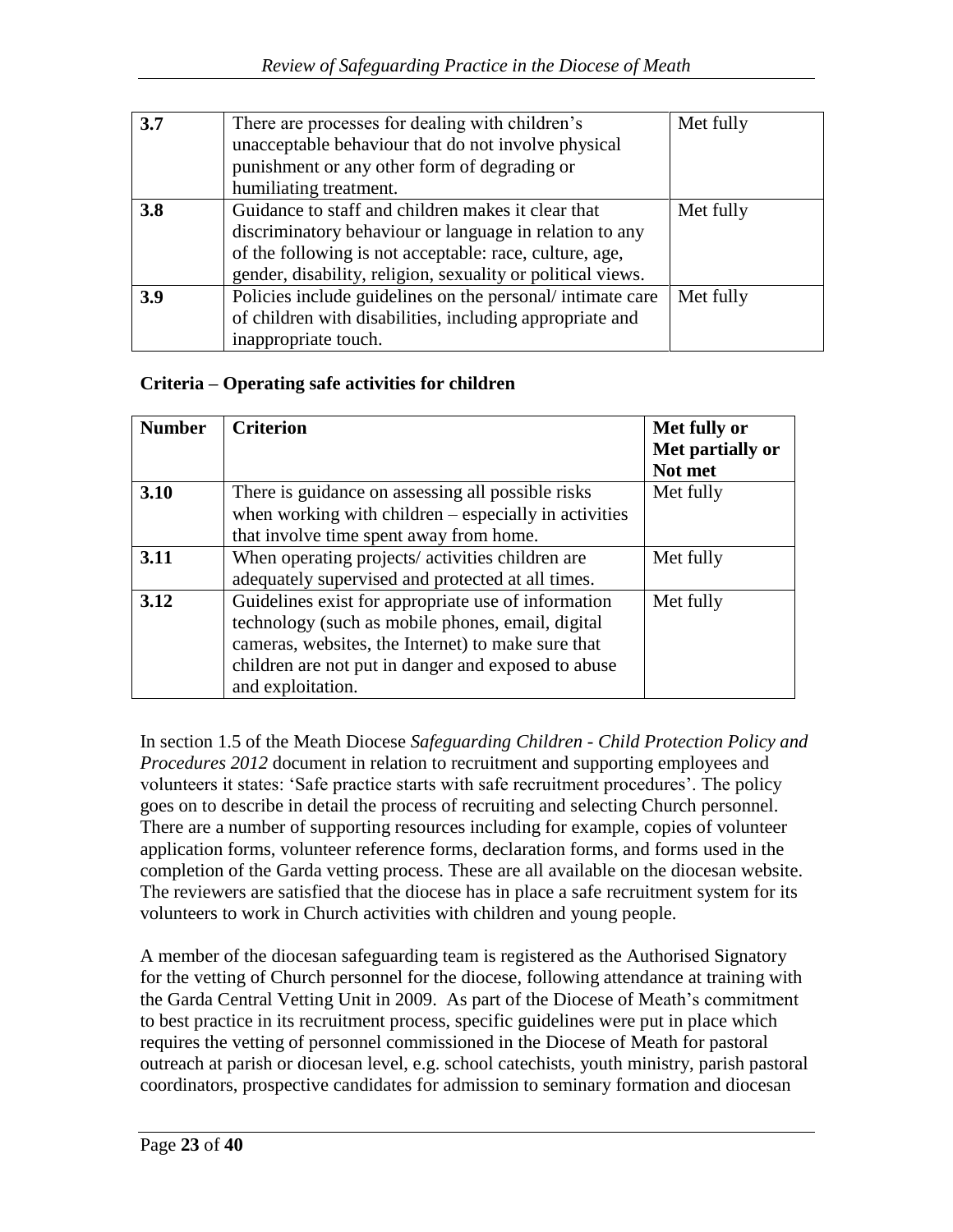| 3.7 | There are processes for dealing with children's<br>unacceptable behaviour that do not involve physical | Met fully |
|-----|--------------------------------------------------------------------------------------------------------|-----------|
|     | punishment or any other form of degrading or                                                           |           |
|     | humiliating treatment.                                                                                 |           |
| 3.8 | Guidance to staff and children makes it clear that                                                     | Met fully |
|     | discriminatory behaviour or language in relation to any                                                |           |
|     | of the following is not acceptable: race, culture, age,                                                |           |
|     | gender, disability, religion, sexuality or political views.                                            |           |
| 3.9 | Policies include guidelines on the personal/intimate care                                              | Met fully |
|     | of children with disabilities, including appropriate and                                               |           |
|     | inappropriate touch.                                                                                   |           |

## **Criteria – Operating safe activities for children**

| <b>Number</b> | <b>Criterion</b>                                        | Met fully or     |
|---------------|---------------------------------------------------------|------------------|
|               |                                                         | Met partially or |
|               |                                                         | Not met          |
| 3.10          | There is guidance on assessing all possible risks       | Met fully        |
|               | when working with children $-$ especially in activities |                  |
|               | that involve time spent away from home.                 |                  |
| 3.11          | When operating projects/activities children are         | Met fully        |
|               | adequately supervised and protected at all times.       |                  |
| 3.12          | Guidelines exist for appropriate use of information     | Met fully        |
|               | technology (such as mobile phones, email, digital       |                  |
|               | cameras, websites, the Internet) to make sure that      |                  |
|               | children are not put in danger and exposed to abuse     |                  |
|               | and exploitation.                                       |                  |

In section 1.5 of the Meath Diocese *Safeguarding Children - Child Protection Policy and Procedures 2012* document in relation to recruitment and supporting employees and volunteers it states: 'Safe practice starts with safe recruitment procedures'. The policy goes on to describe in detail the process of recruiting and selecting Church personnel. There are a number of supporting resources including for example, copies of volunteer application forms, volunteer reference forms, declaration forms, and forms used in the completion of the Garda vetting process. These are all available on the diocesan website. The reviewers are satisfied that the diocese has in place a safe recruitment system for its volunteers to work in Church activities with children and young people.

A member of the diocesan safeguarding team is registered as the Authorised Signatory for the vetting of Church personnel for the diocese, following attendance at training with the Garda Central Vetting Unit in 2009. As part of the Diocese of Meath's commitment to best practice in its recruitment process, specific guidelines were put in place which requires the vetting of personnel commissioned in the Diocese of Meath for pastoral outreach at parish or diocesan level, e.g. school catechists, youth ministry, parish pastoral coordinators, prospective candidates for admission to seminary formation and diocesan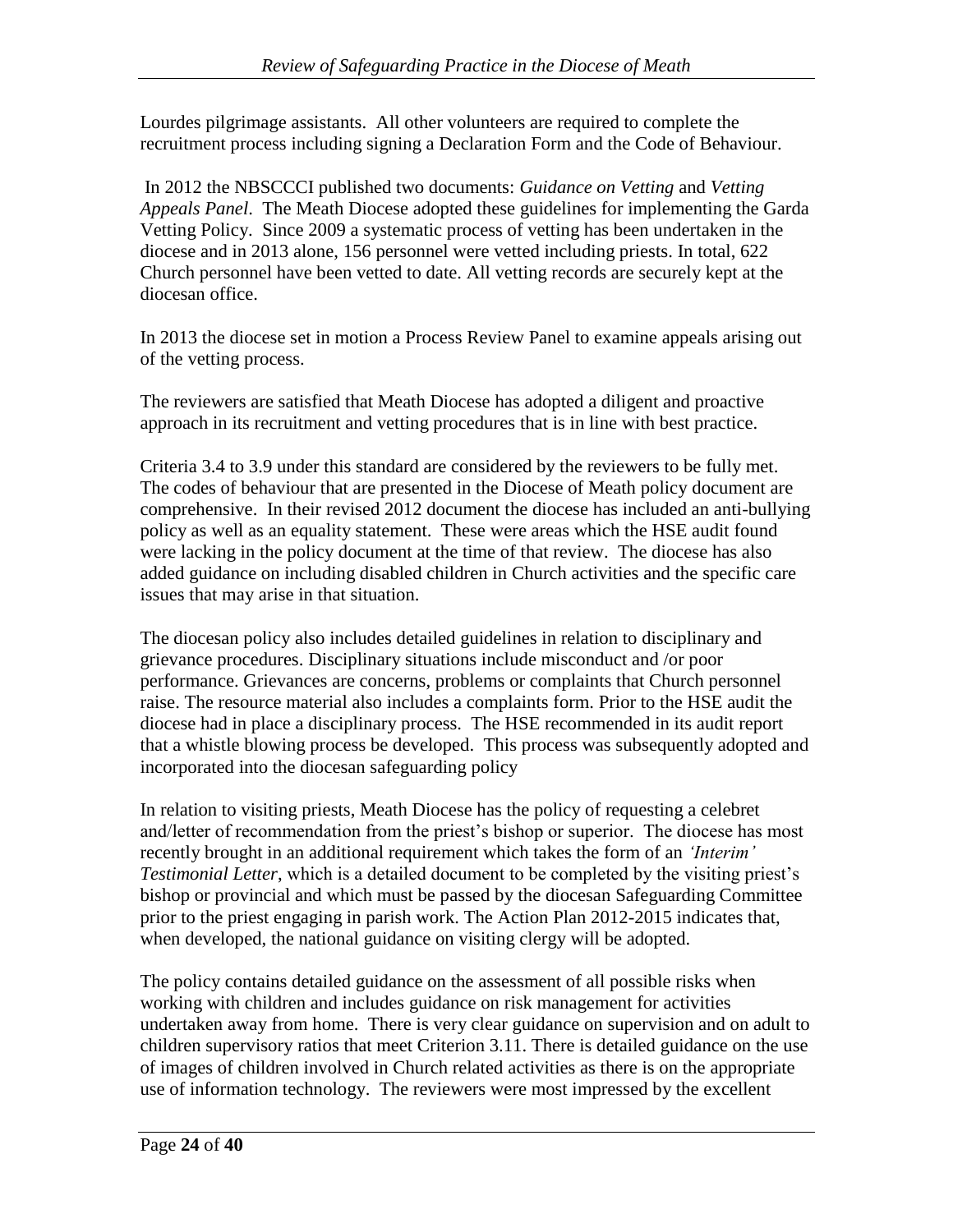Lourdes pilgrimage assistants. All other volunteers are required to complete the recruitment process including signing a Declaration Form and the Code of Behaviour.

In 2012 the NBSCCCI published two documents: *Guidance on Vetting* and *Vetting Appeals Panel*. The Meath Diocese adopted these guidelines for implementing the Garda Vetting Policy. Since 2009 a systematic process of vetting has been undertaken in the diocese and in 2013 alone, 156 personnel were vetted including priests. In total, 622 Church personnel have been vetted to date. All vetting records are securely kept at the diocesan office.

In 2013 the diocese set in motion a Process Review Panel to examine appeals arising out of the vetting process.

The reviewers are satisfied that Meath Diocese has adopted a diligent and proactive approach in its recruitment and vetting procedures that is in line with best practice.

Criteria 3.4 to 3.9 under this standard are considered by the reviewers to be fully met. The codes of behaviour that are presented in the Diocese of Meath policy document are comprehensive. In their revised 2012 document the diocese has included an anti-bullying policy as well as an equality statement. These were areas which the HSE audit found were lacking in the policy document at the time of that review. The diocese has also added guidance on including disabled children in Church activities and the specific care issues that may arise in that situation.

The diocesan policy also includes detailed guidelines in relation to disciplinary and grievance procedures. Disciplinary situations include misconduct and /or poor performance. Grievances are concerns, problems or complaints that Church personnel raise. The resource material also includes a complaints form. Prior to the HSE audit the diocese had in place a disciplinary process. The HSE recommended in its audit report that a whistle blowing process be developed. This process was subsequently adopted and incorporated into the diocesan safeguarding policy

In relation to visiting priests, Meath Diocese has the policy of requesting a celebret and/letter of recommendation from the priest's bishop or superior. The diocese has most recently brought in an additional requirement which takes the form of an *'Interim' Testimonial Letter*, which is a detailed document to be completed by the visiting priest's bishop or provincial and which must be passed by the diocesan Safeguarding Committee prior to the priest engaging in parish work. The Action Plan 2012-2015 indicates that, when developed, the national guidance on visiting clergy will be adopted.

The policy contains detailed guidance on the assessment of all possible risks when working with children and includes guidance on risk management for activities undertaken away from home. There is very clear guidance on supervision and on adult to children supervisory ratios that meet Criterion 3.11. There is detailed guidance on the use of images of children involved in Church related activities as there is on the appropriate use of information technology. The reviewers were most impressed by the excellent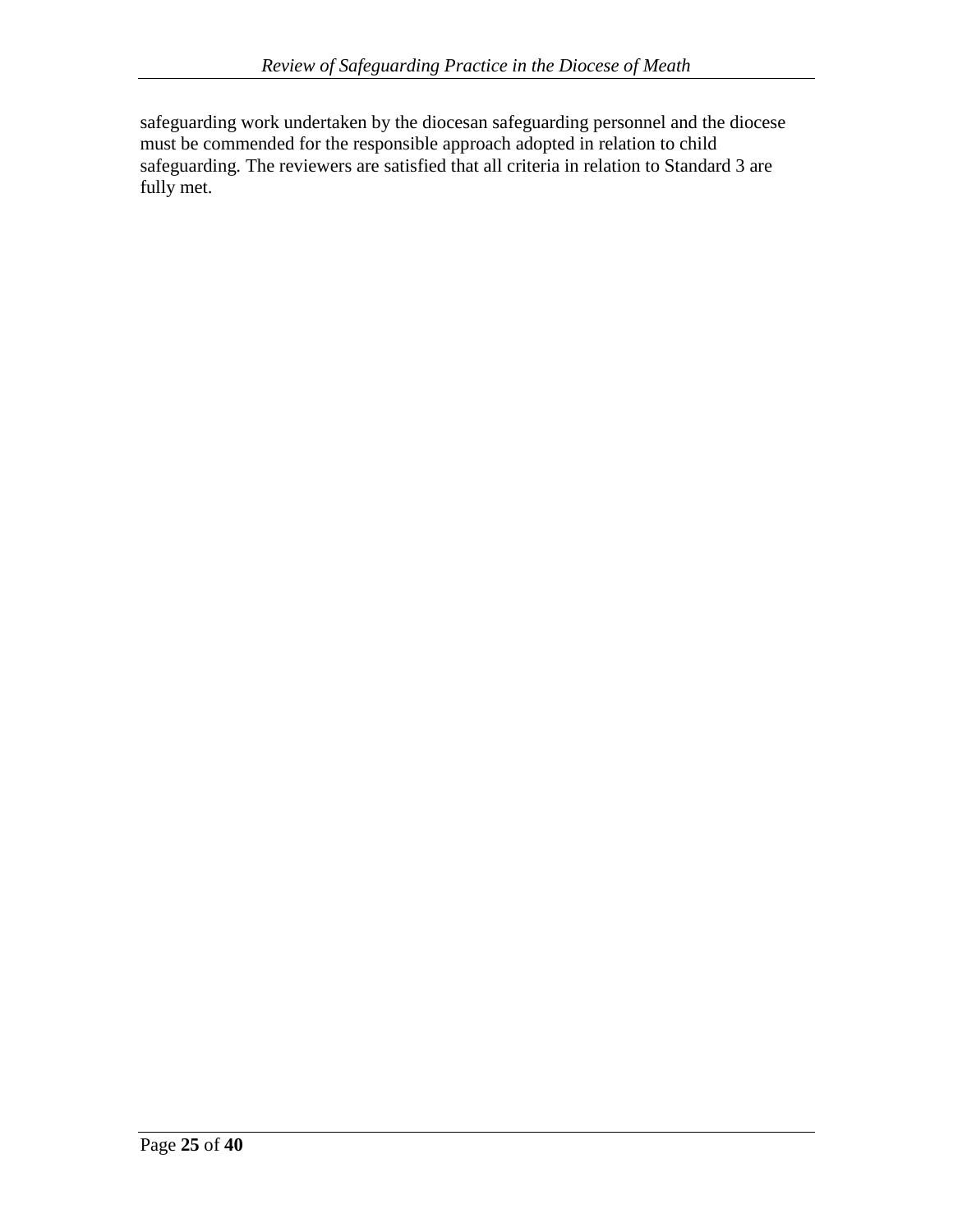safeguarding work undertaken by the diocesan safeguarding personnel and the diocese must be commended for the responsible approach adopted in relation to child safeguarding. The reviewers are satisfied that all criteria in relation to Standard 3 are fully met.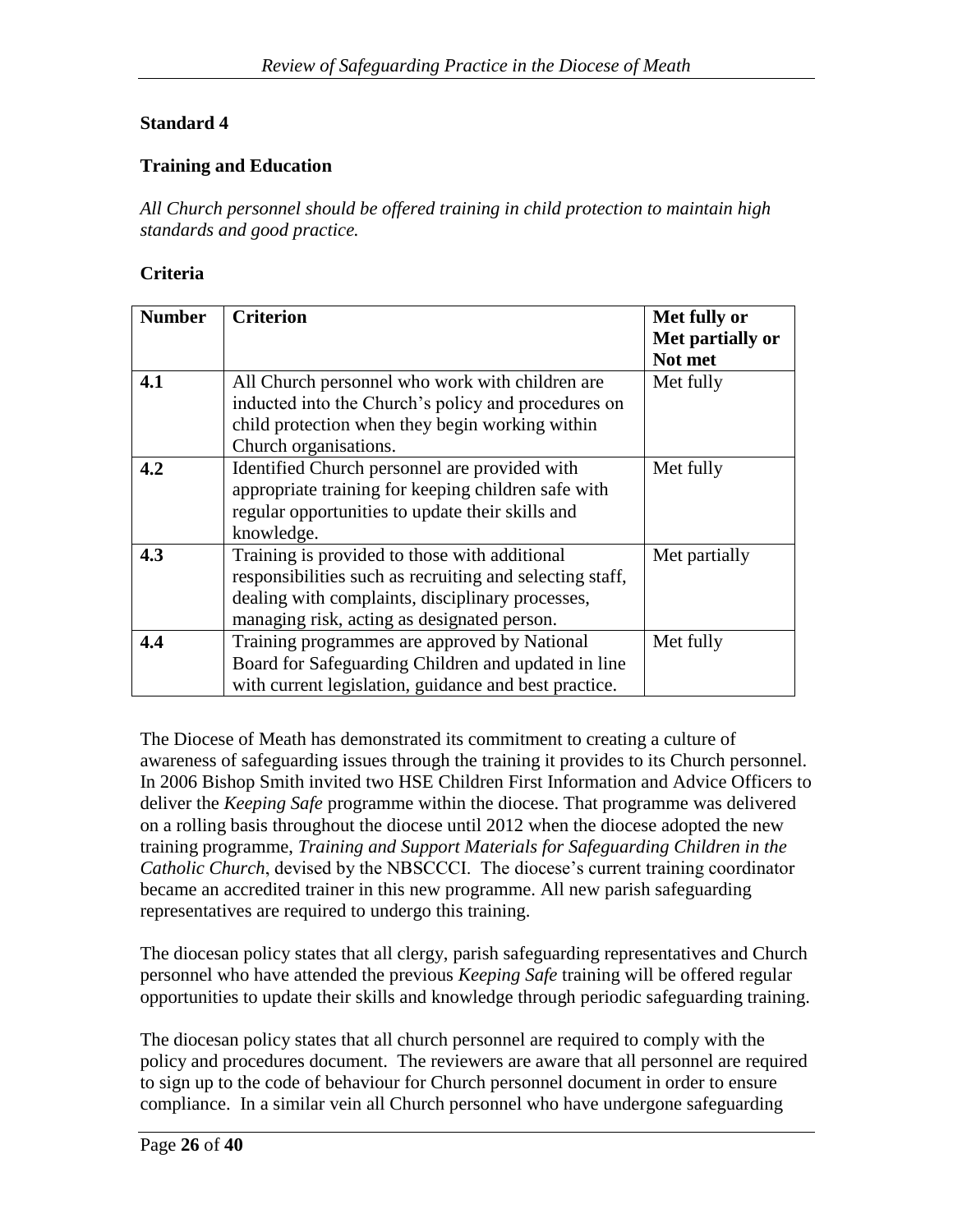### **Standard 4**

#### **Training and Education**

*All Church personnel should be offered training in child protection to maintain high standards and good practice.*

#### **Criteria**

| <b>Number</b> | <b>Criterion</b>                                         | Met fully or     |
|---------------|----------------------------------------------------------|------------------|
|               |                                                          | Met partially or |
|               |                                                          | Not met          |
| 4.1           | All Church personnel who work with children are          | Met fully        |
|               | inducted into the Church's policy and procedures on      |                  |
|               | child protection when they begin working within          |                  |
|               | Church organisations.                                    |                  |
| 4.2           | Identified Church personnel are provided with            | Met fully        |
|               | appropriate training for keeping children safe with      |                  |
|               | regular opportunities to update their skills and         |                  |
|               | knowledge.                                               |                  |
| 4.3           | Training is provided to those with additional            | Met partially    |
|               | responsibilities such as recruiting and selecting staff, |                  |
|               | dealing with complaints, disciplinary processes,         |                  |
|               | managing risk, acting as designated person.              |                  |
| 4.4           | Training programmes are approved by National             | Met fully        |
|               | Board for Safeguarding Children and updated in line      |                  |
|               | with current legislation, guidance and best practice.    |                  |

The Diocese of Meath has demonstrated its commitment to creating a culture of awareness of safeguarding issues through the training it provides to its Church personnel. In 2006 Bishop Smith invited two HSE Children First Information and Advice Officers to deliver the *Keeping Safe* programme within the diocese. That programme was delivered on a rolling basis throughout the diocese until 2012 when the diocese adopted the new training programme, *Training and Support Materials for Safeguarding Children in the Catholic Church*, devised by the NBSCCCI. The diocese's current training coordinator became an accredited trainer in this new programme. All new parish safeguarding representatives are required to undergo this training.

The diocesan policy states that all clergy, parish safeguarding representatives and Church personnel who have attended the previous *Keeping Safe* training will be offered regular opportunities to update their skills and knowledge through periodic safeguarding training.

The diocesan policy states that all church personnel are required to comply with the policy and procedures document. The reviewers are aware that all personnel are required to sign up to the code of behaviour for Church personnel document in order to ensure compliance. In a similar vein all Church personnel who have undergone safeguarding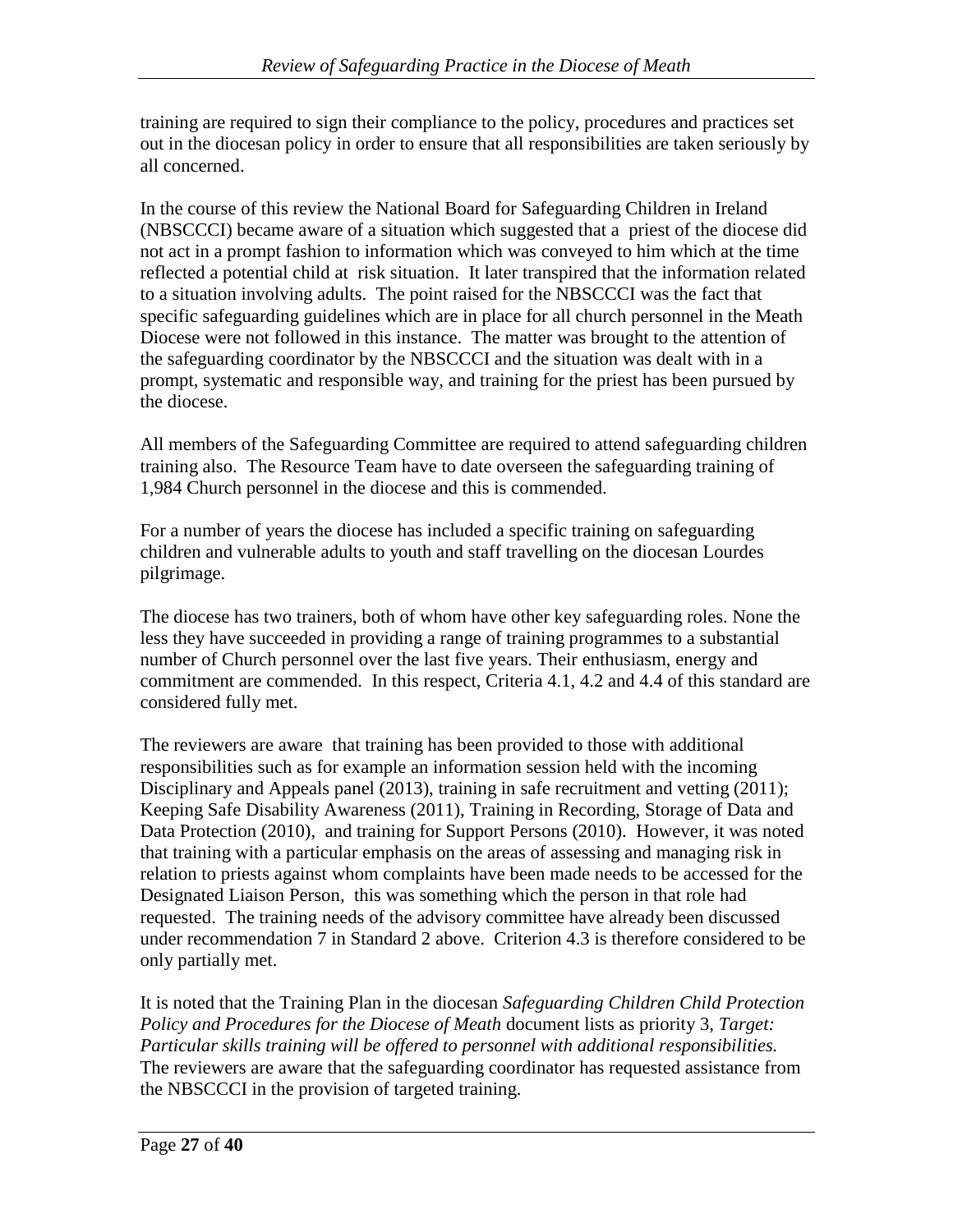training are required to sign their compliance to the policy, procedures and practices set out in the diocesan policy in order to ensure that all responsibilities are taken seriously by all concerned.

In the course of this review the National Board for Safeguarding Children in Ireland (NBSCCCI) became aware of a situation which suggested that a priest of the diocese did not act in a prompt fashion to information which was conveyed to him which at the time reflected a potential child at risk situation. It later transpired that the information related to a situation involving adults. The point raised for the NBSCCCI was the fact that specific safeguarding guidelines which are in place for all church personnel in the Meath Diocese were not followed in this instance. The matter was brought to the attention of the safeguarding coordinator by the NBSCCCI and the situation was dealt with in a prompt, systematic and responsible way, and training for the priest has been pursued by the diocese.

All members of the Safeguarding Committee are required to attend safeguarding children training also. The Resource Team have to date overseen the safeguarding training of 1,984 Church personnel in the diocese and this is commended.

For a number of years the diocese has included a specific training on safeguarding children and vulnerable adults to youth and staff travelling on the diocesan Lourdes pilgrimage.

The diocese has two trainers, both of whom have other key safeguarding roles. None the less they have succeeded in providing a range of training programmes to a substantial number of Church personnel over the last five years. Their enthusiasm, energy and commitment are commended. In this respect, Criteria 4.1, 4.2 and 4.4 of this standard are considered fully met.

The reviewers are aware that training has been provided to those with additional responsibilities such as for example an information session held with the incoming Disciplinary and Appeals panel (2013), training in safe recruitment and vetting (2011); Keeping Safe Disability Awareness (2011), Training in Recording, Storage of Data and Data Protection (2010), and training for Support Persons (2010). However, it was noted that training with a particular emphasis on the areas of assessing and managing risk in relation to priests against whom complaints have been made needs to be accessed for the Designated Liaison Person, this was something which the person in that role had requested. The training needs of the advisory committee have already been discussed under recommendation 7 in Standard 2 above. Criterion 4.3 is therefore considered to be only partially met.

It is noted that the Training Plan in the diocesan *Safeguarding Children Child Protection Policy and Procedures for the Diocese of Meath* document lists as priority 3, *Target: Particular skills training will be offered to personnel with additional responsibilities.*  The reviewers are aware that the safeguarding coordinator has requested assistance from the NBSCCCI in the provision of targeted training.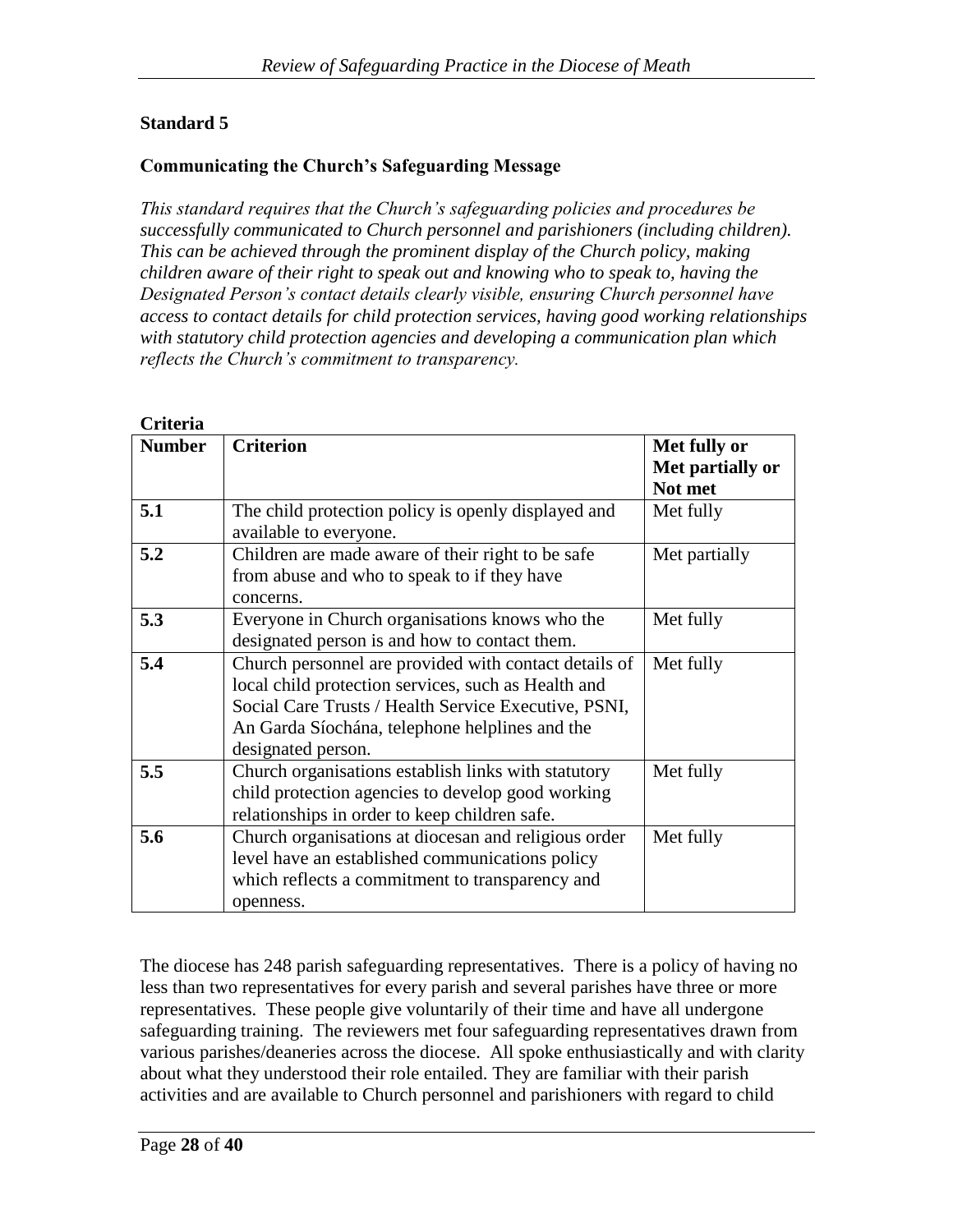## **Standard 5**

#### **Communicating the Church's Safeguarding Message**

*This standard requires that the Church's safeguarding policies and procedures be successfully communicated to Church personnel and parishioners (including children). This can be achieved through the prominent display of the Church policy, making children aware of their right to speak out and knowing who to speak to, having the Designated Person's contact details clearly visible, ensuring Church personnel have access to contact details for child protection services, having good working relationships with statutory child protection agencies and developing a communication plan which reflects the Church's commitment to transparency.*

| Uriteria      |                                                       |                  |
|---------------|-------------------------------------------------------|------------------|
| <b>Number</b> | <b>Criterion</b>                                      | Met fully or     |
|               |                                                       | Met partially or |
|               |                                                       | Not met          |
| 5.1           | The child protection policy is openly displayed and   | Met fully        |
|               | available to everyone.                                |                  |
| 5.2           | Children are made aware of their right to be safe     | Met partially    |
|               | from abuse and who to speak to if they have           |                  |
|               | concerns.                                             |                  |
| 5.3           | Everyone in Church organisations knows who the        | Met fully        |
|               | designated person is and how to contact them.         |                  |
| 5.4           | Church personnel are provided with contact details of | Met fully        |
|               | local child protection services, such as Health and   |                  |
|               | Social Care Trusts / Health Service Executive, PSNI,  |                  |
|               | An Garda Síochána, telephone helplines and the        |                  |
|               | designated person.                                    |                  |
| 5.5           | Church organisations establish links with statutory   | Met fully        |
|               | child protection agencies to develop good working     |                  |
|               | relationships in order to keep children safe.         |                  |
| 5.6           | Church organisations at diocesan and religious order  | Met fully        |
|               | level have an established communications policy       |                  |
|               | which reflects a commitment to transparency and       |                  |
|               | openness.                                             |                  |

The diocese has 248 parish safeguarding representatives. There is a policy of having no less than two representatives for every parish and several parishes have three or more representatives. These people give voluntarily of their time and have all undergone safeguarding training. The reviewers met four safeguarding representatives drawn from various parishes/deaneries across the diocese. All spoke enthusiastically and with clarity about what they understood their role entailed. They are familiar with their parish activities and are available to Church personnel and parishioners with regard to child

#### **Criteria**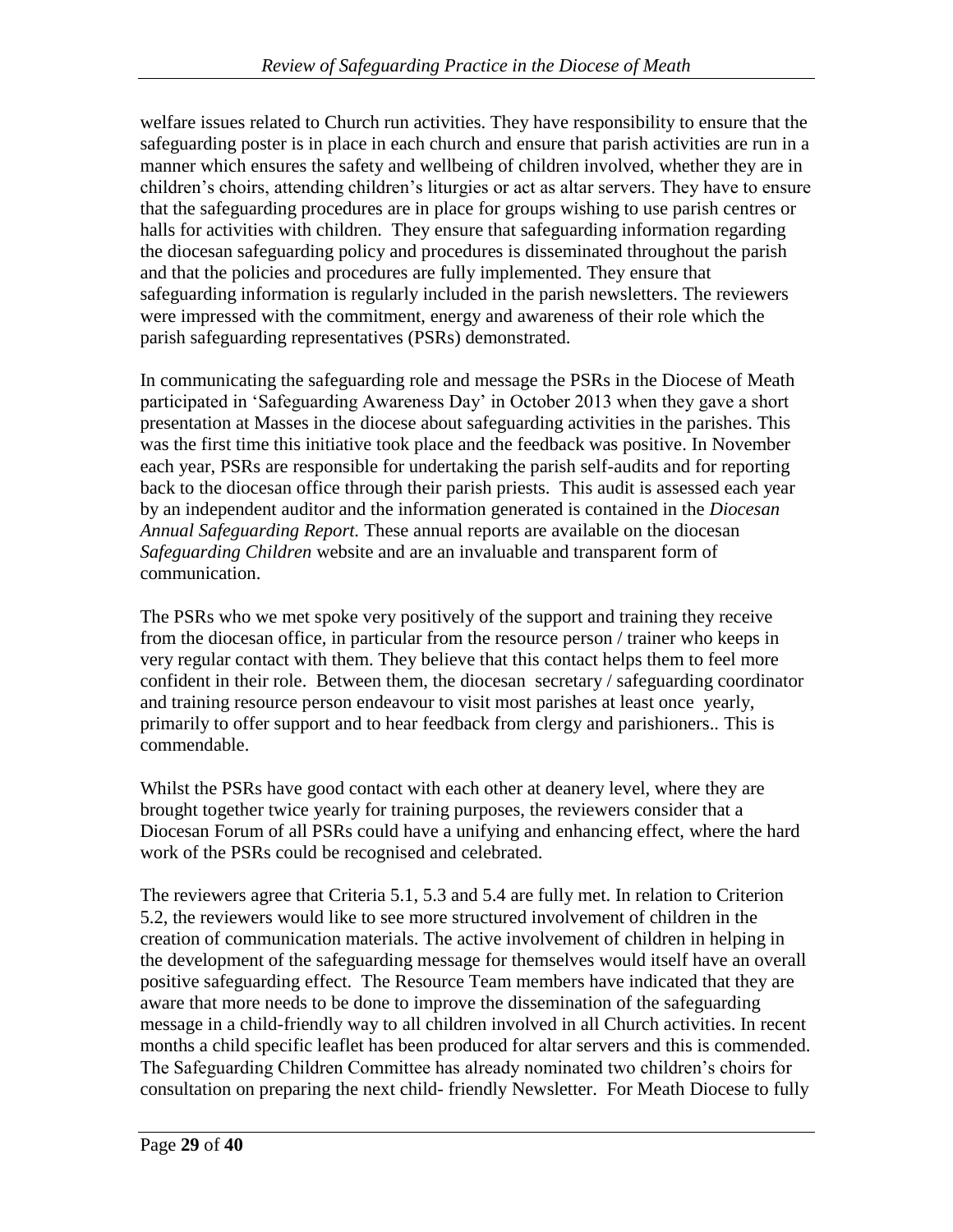welfare issues related to Church run activities. They have responsibility to ensure that the safeguarding poster is in place in each church and ensure that parish activities are run in a manner which ensures the safety and wellbeing of children involved, whether they are in children's choirs, attending children's liturgies or act as altar servers. They have to ensure that the safeguarding procedures are in place for groups wishing to use parish centres or halls for activities with children. They ensure that safeguarding information regarding the diocesan safeguarding policy and procedures is disseminated throughout the parish and that the policies and procedures are fully implemented. They ensure that safeguarding information is regularly included in the parish newsletters. The reviewers were impressed with the commitment, energy and awareness of their role which the parish safeguarding representatives (PSRs) demonstrated.

In communicating the safeguarding role and message the PSRs in the Diocese of Meath participated in 'Safeguarding Awareness Day' in October 2013 when they gave a short presentation at Masses in the diocese about safeguarding activities in the parishes. This was the first time this initiative took place and the feedback was positive. In November each year, PSRs are responsible for undertaking the parish self-audits and for reporting back to the diocesan office through their parish priests. This audit is assessed each year by an independent auditor and the information generated is contained in the *Diocesan Annual Safeguarding Report.* These annual reports are available on the diocesan *Safeguarding Children* website and are an invaluable and transparent form of communication.

The PSRs who we met spoke very positively of the support and training they receive from the diocesan office, in particular from the resource person / trainer who keeps in very regular contact with them. They believe that this contact helps them to feel more confident in their role. Between them, the diocesan secretary / safeguarding coordinator and training resource person endeavour to visit most parishes at least once yearly, primarily to offer support and to hear feedback from clergy and parishioners.. This is commendable.

Whilst the PSRs have good contact with each other at deanery level, where they are brought together twice yearly for training purposes, the reviewers consider that a Diocesan Forum of all PSRs could have a unifying and enhancing effect, where the hard work of the PSRs could be recognised and celebrated.

The reviewers agree that Criteria 5.1, 5.3 and 5.4 are fully met. In relation to Criterion 5.2, the reviewers would like to see more structured involvement of children in the creation of communication materials. The active involvement of children in helping in the development of the safeguarding message for themselves would itself have an overall positive safeguarding effect. The Resource Team members have indicated that they are aware that more needs to be done to improve the dissemination of the safeguarding message in a child-friendly way to all children involved in all Church activities. In recent months a child specific leaflet has been produced for altar servers and this is commended. The Safeguarding Children Committee has already nominated two children's choirs for consultation on preparing the next child- friendly Newsletter. For Meath Diocese to fully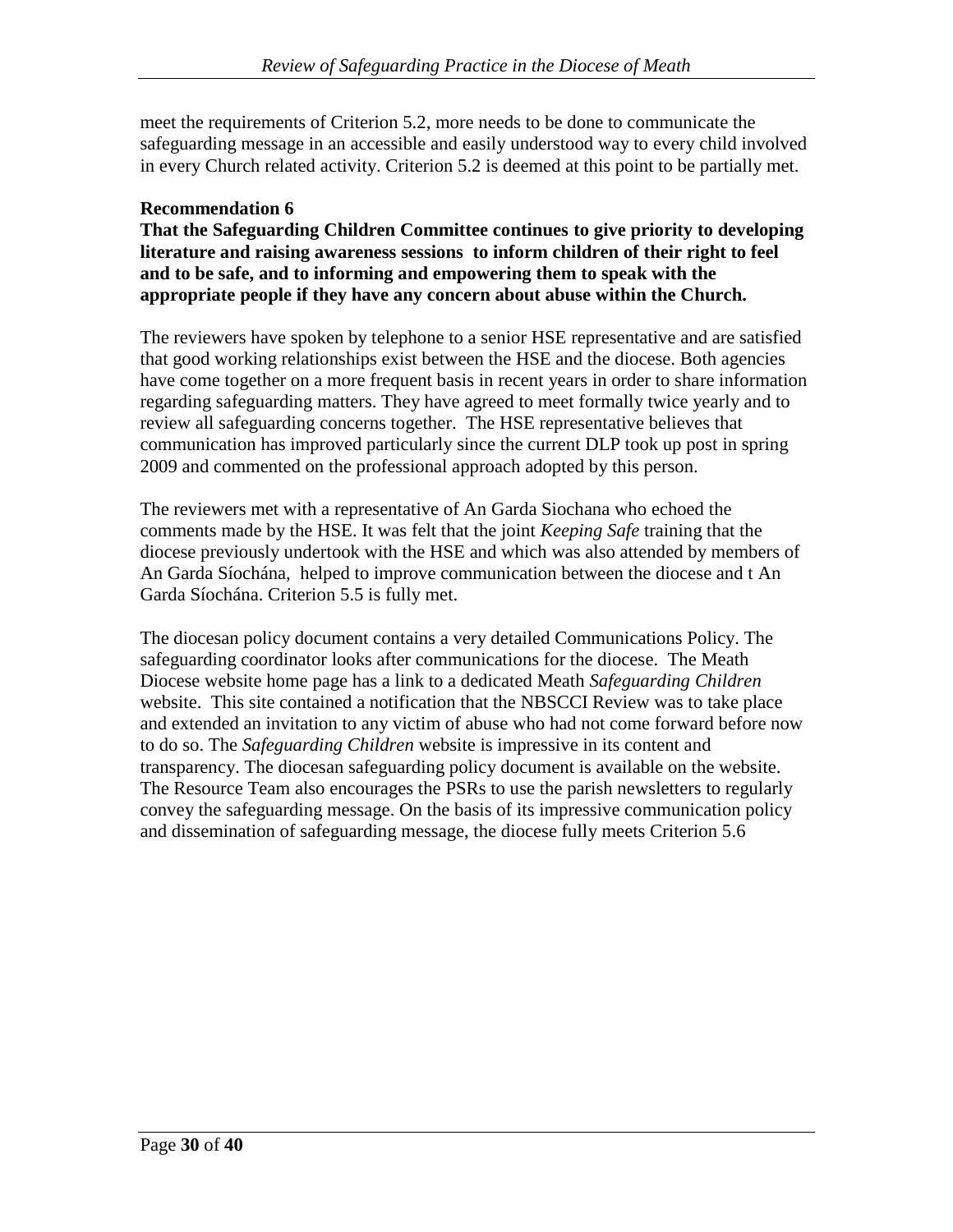meet the requirements of Criterion 5.2, more needs to be done to communicate the safeguarding message in an accessible and easily understood way to every child involved in every Church related activity. Criterion 5.2 is deemed at this point to be partially met.

### **Recommendation 6**

**That the Safeguarding Children Committee continues to give priority to developing literature and raising awareness sessions to inform children of their right to feel and to be safe, and to informing and empowering them to speak with the appropriate people if they have any concern about abuse within the Church.**

The reviewers have spoken by telephone to a senior HSE representative and are satisfied that good working relationships exist between the HSE and the diocese. Both agencies have come together on a more frequent basis in recent years in order to share information regarding safeguarding matters. They have agreed to meet formally twice yearly and to review all safeguarding concerns together. The HSE representative believes that communication has improved particularly since the current DLP took up post in spring 2009 and commented on the professional approach adopted by this person.

The reviewers met with a representative of An Garda Siochana who echoed the comments made by the HSE. It was felt that the joint *Keeping Safe* training that the diocese previously undertook with the HSE and which was also attended by members of An Garda Síochána, helped to improve communication between the diocese and t An Garda Síochána. Criterion 5.5 is fully met.

The diocesan policy document contains a very detailed Communications Policy. The safeguarding coordinator looks after communications for the diocese. The Meath Diocese website home page has a link to a dedicated Meath *Safeguarding Children* website. This site contained a notification that the NBSCCI Review was to take place and extended an invitation to any victim of abuse who had not come forward before now to do so. The *Safeguarding Children* website is impressive in its content and transparency. The diocesan safeguarding policy document is available on the website. The Resource Team also encourages the PSRs to use the parish newsletters to regularly convey the safeguarding message. On the basis of its impressive communication policy and dissemination of safeguarding message, the diocese fully meets Criterion 5.6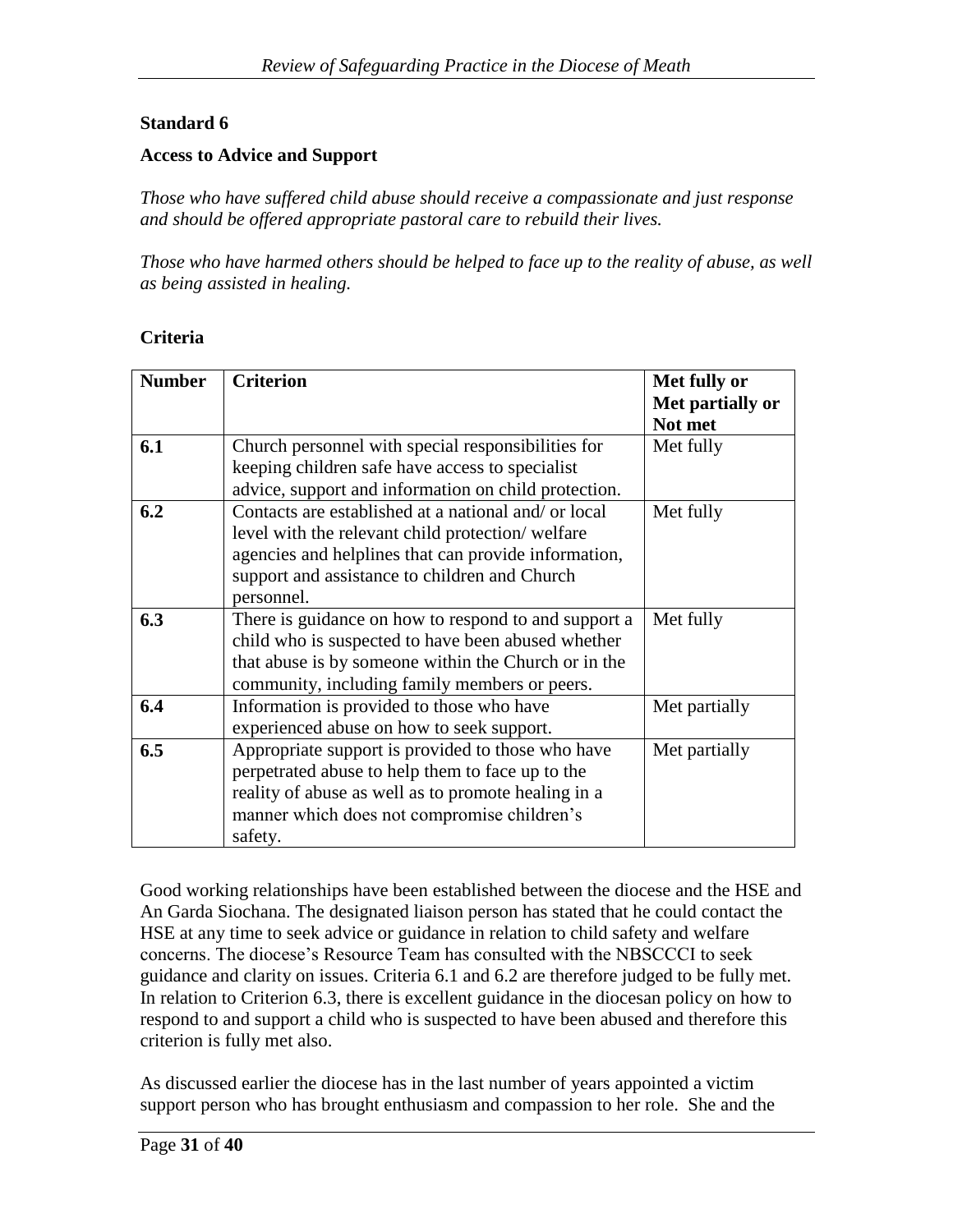### **Standard 6**

#### **Access to Advice and Support**

*Those who have suffered child abuse should receive a compassionate and just response and should be offered appropriate pastoral care to rebuild their lives.*

*Those who have harmed others should be helped to face up to the reality of abuse, as well as being assisted in healing.*

#### **Criteria**

| <b>Number</b> | <b>Criterion</b>                                                                                                                                                                                                                | Met fully or<br>Met partially or<br>Not met |
|---------------|---------------------------------------------------------------------------------------------------------------------------------------------------------------------------------------------------------------------------------|---------------------------------------------|
| 6.1           | Church personnel with special responsibilities for<br>keeping children safe have access to specialist                                                                                                                           | Met fully                                   |
|               | advice, support and information on child protection.                                                                                                                                                                            |                                             |
| 6.2           | Contacts are established at a national and/ or local<br>level with the relevant child protection/welfare<br>agencies and helplines that can provide information,<br>support and assistance to children and Church<br>personnel. | Met fully                                   |
| 6.3           | There is guidance on how to respond to and support a<br>child who is suspected to have been abused whether<br>that abuse is by someone within the Church or in the<br>community, including family members or peers.             | Met fully                                   |
| 6.4           | Information is provided to those who have<br>experienced abuse on how to seek support.                                                                                                                                          | Met partially                               |
| 6.5           | Appropriate support is provided to those who have<br>perpetrated abuse to help them to face up to the<br>reality of abuse as well as to promote healing in a<br>manner which does not compromise children's<br>safety.          | Met partially                               |

Good working relationships have been established between the diocese and the HSE and An Garda Siochana. The designated liaison person has stated that he could contact the HSE at any time to seek advice or guidance in relation to child safety and welfare concerns. The diocese's Resource Team has consulted with the NBSCCCI to seek guidance and clarity on issues. Criteria 6.1 and 6.2 are therefore judged to be fully met. In relation to Criterion 6.3, there is excellent guidance in the diocesan policy on how to respond to and support a child who is suspected to have been abused and therefore this criterion is fully met also.

As discussed earlier the diocese has in the last number of years appointed a victim support person who has brought enthusiasm and compassion to her role. She and the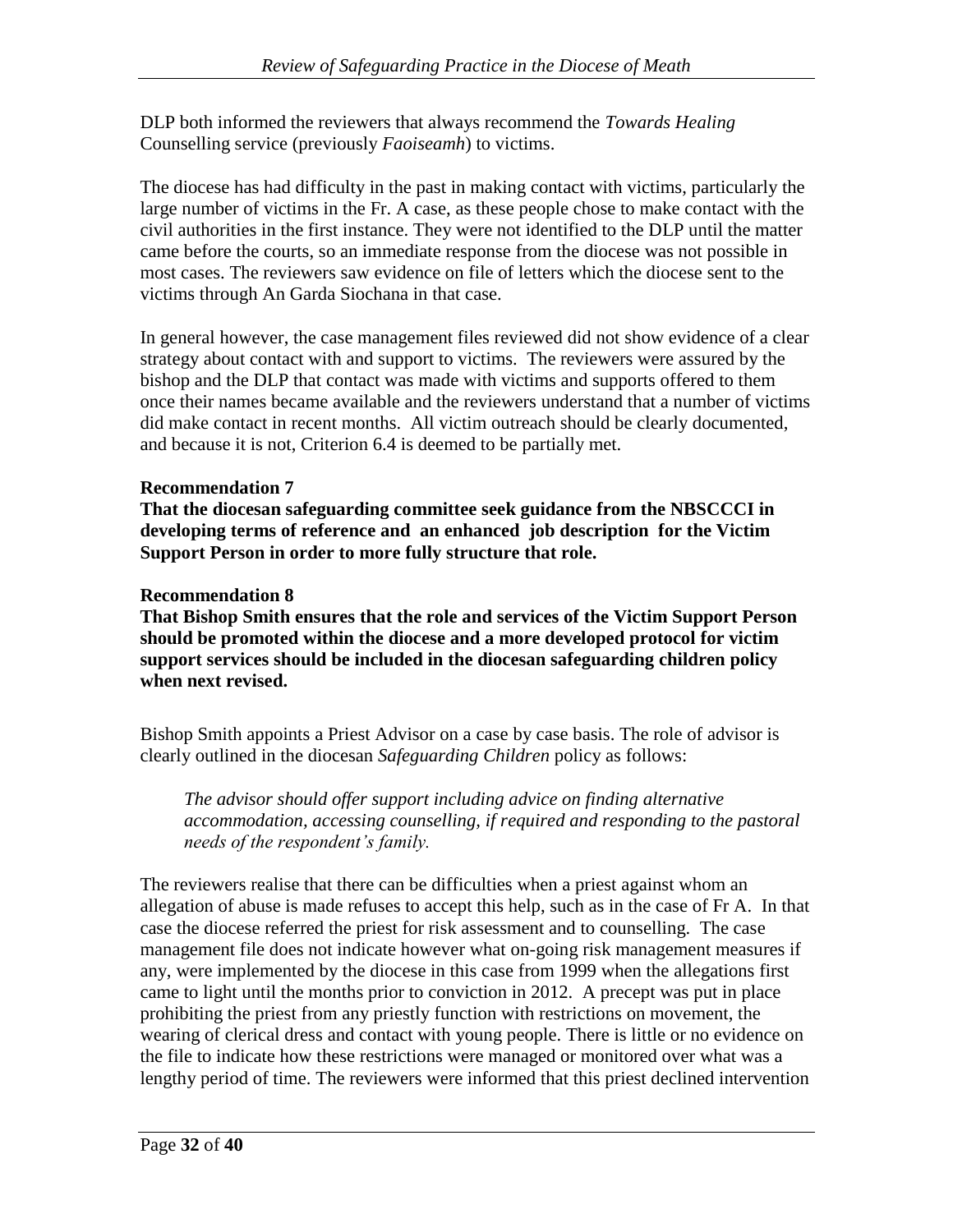DLP both informed the reviewers that always recommend the *Towards Healing* Counselling service (previously *Faoiseamh*) to victims.

The diocese has had difficulty in the past in making contact with victims, particularly the large number of victims in the Fr. A case, as these people chose to make contact with the civil authorities in the first instance. They were not identified to the DLP until the matter came before the courts, so an immediate response from the diocese was not possible in most cases. The reviewers saw evidence on file of letters which the diocese sent to the victims through An Garda Siochana in that case.

In general however, the case management files reviewed did not show evidence of a clear strategy about contact with and support to victims. The reviewers were assured by the bishop and the DLP that contact was made with victims and supports offered to them once their names became available and the reviewers understand that a number of victims did make contact in recent months. All victim outreach should be clearly documented, and because it is not, Criterion 6.4 is deemed to be partially met.

## **Recommendation 7**

**That the diocesan safeguarding committee seek guidance from the NBSCCCI in developing terms of reference and an enhanced job description for the Victim Support Person in order to more fully structure that role.**

### **Recommendation 8**

**That Bishop Smith ensures that the role and services of the Victim Support Person should be promoted within the diocese and a more developed protocol for victim support services should be included in the diocesan safeguarding children policy when next revised.**

Bishop Smith appoints a Priest Advisor on a case by case basis. The role of advisor is clearly outlined in the diocesan *Safeguarding Children* policy as follows:

*The advisor should offer support including advice on finding alternative accommodation, accessing counselling, if required and responding to the pastoral needs of the respondent's family.* 

The reviewers realise that there can be difficulties when a priest against whom an allegation of abuse is made refuses to accept this help, such as in the case of Fr A. In that case the diocese referred the priest for risk assessment and to counselling. The case management file does not indicate however what on-going risk management measures if any, were implemented by the diocese in this case from 1999 when the allegations first came to light until the months prior to conviction in 2012. A precept was put in place prohibiting the priest from any priestly function with restrictions on movement, the wearing of clerical dress and contact with young people. There is little or no evidence on the file to indicate how these restrictions were managed or monitored over what was a lengthy period of time. The reviewers were informed that this priest declined intervention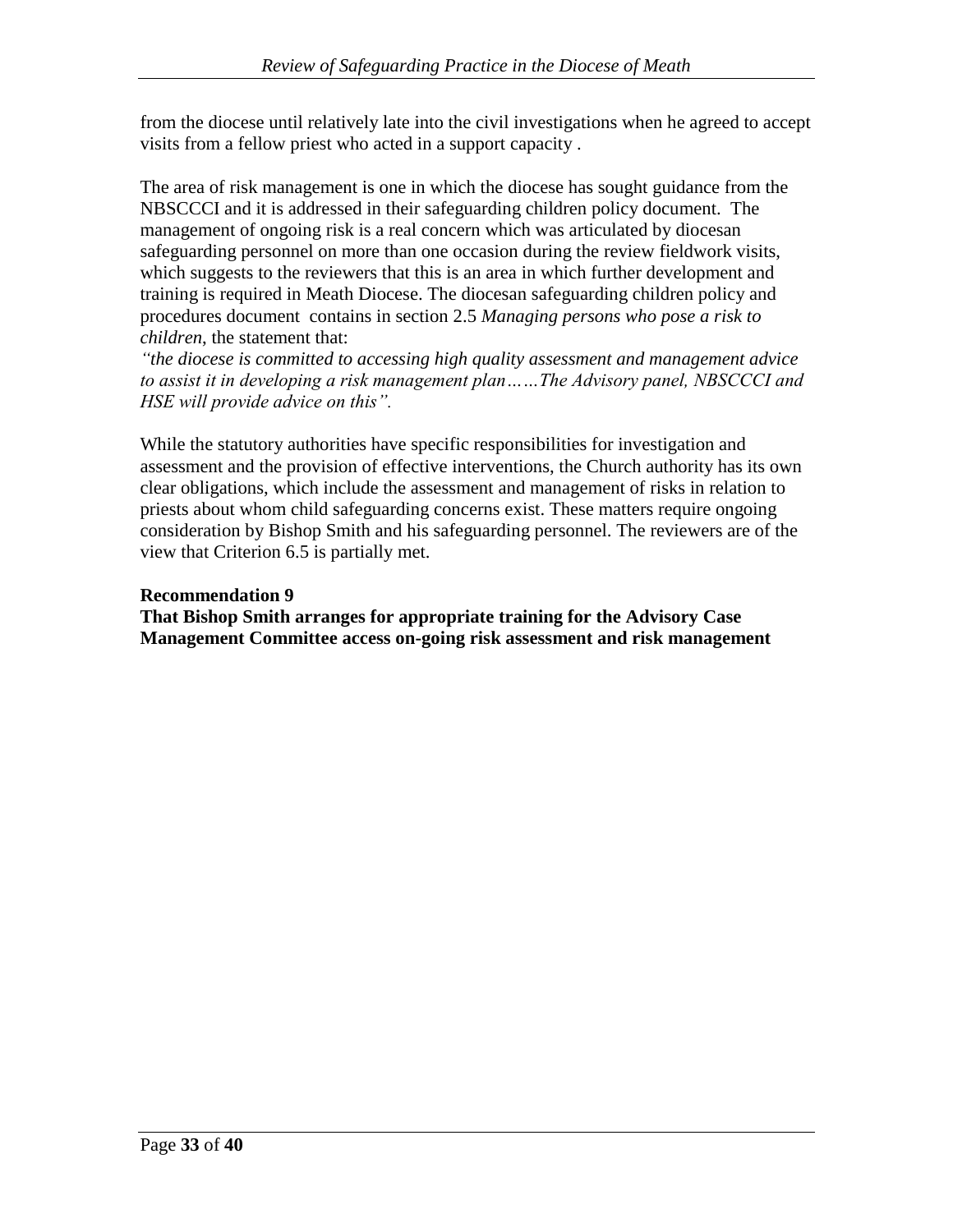from the diocese until relatively late into the civil investigations when he agreed to accept visits from a fellow priest who acted in a support capacity .

The area of risk management is one in which the diocese has sought guidance from the NBSCCCI and it is addressed in their safeguarding children policy document. The management of ongoing risk is a real concern which was articulated by diocesan safeguarding personnel on more than one occasion during the review fieldwork visits, which suggests to the reviewers that this is an area in which further development and training is required in Meath Diocese. The diocesan safeguarding children policy and procedures document contains in section 2.5 *Managing persons who pose a risk to children*, the statement that:

*"the diocese is committed to accessing high quality assessment and management advice to assist it in developing a risk management plan……The Advisory panel, NBSCCCI and HSE will provide advice on this".*

While the statutory authorities have specific responsibilities for investigation and assessment and the provision of effective interventions, the Church authority has its own clear obligations, which include the assessment and management of risks in relation to priests about whom child safeguarding concerns exist. These matters require ongoing consideration by Bishop Smith and his safeguarding personnel. The reviewers are of the view that Criterion 6.5 is partially met.

#### **Recommendation 9**

**That Bishop Smith arranges for appropriate training for the Advisory Case Management Committee access on-going risk assessment and risk management**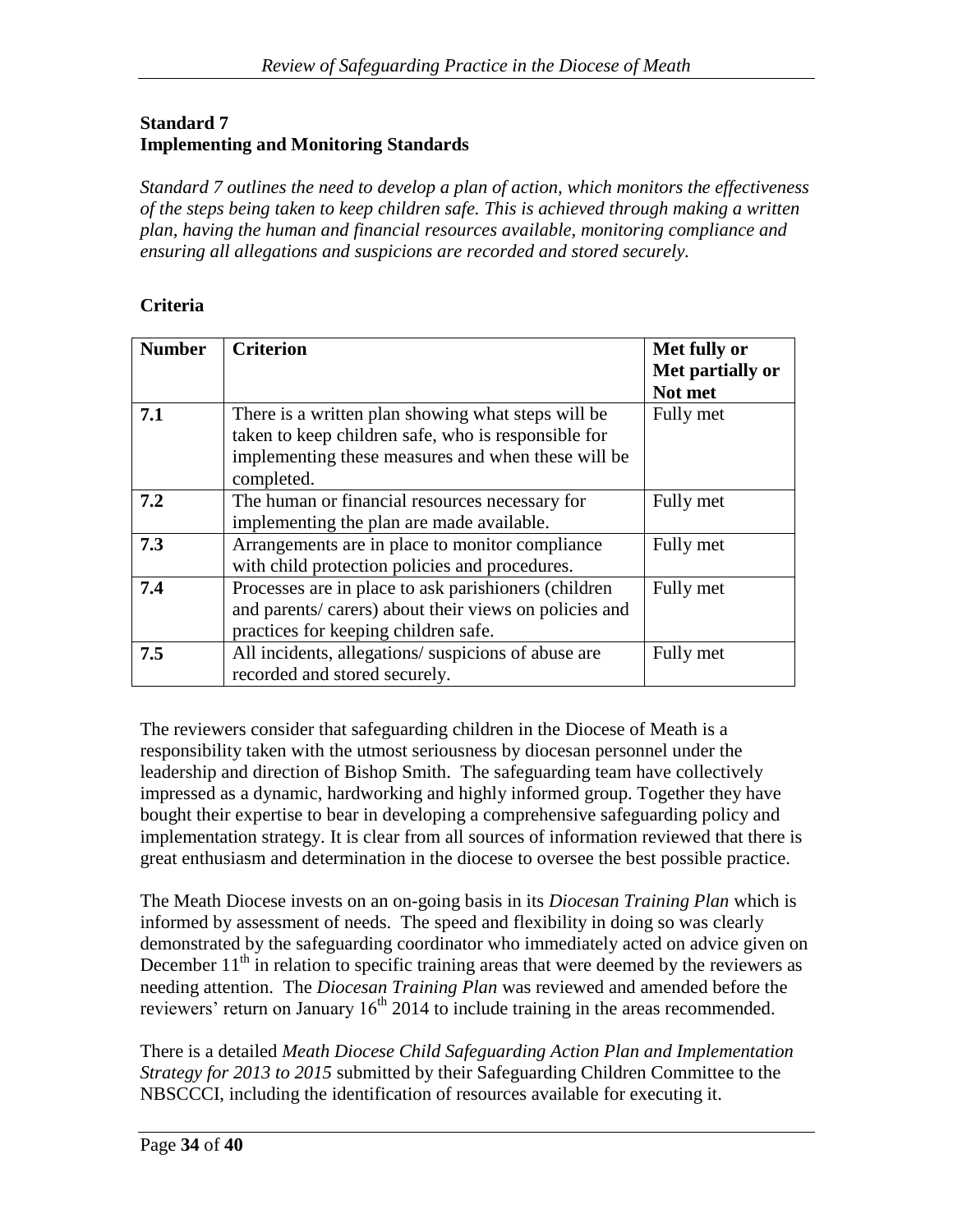### **Standard 7 Implementing and Monitoring Standards**

*Standard 7 outlines the need to develop a plan of action, which monitors the effectiveness of the steps being taken to keep children safe. This is achieved through making a written plan, having the human and financial resources available, monitoring compliance and ensuring all allegations and suspicions are recorded and stored securely.*

### **Criteria**

| <b>Number</b> | <b>Criterion</b>                                      | Met fully or     |
|---------------|-------------------------------------------------------|------------------|
|               |                                                       | Met partially or |
|               |                                                       | Not met          |
| 7.1           | There is a written plan showing what steps will be    | Fully met        |
|               | taken to keep children safe, who is responsible for   |                  |
|               | implementing these measures and when these will be    |                  |
|               | completed.                                            |                  |
| 7.2           | The human or financial resources necessary for        | Fully met        |
|               | implementing the plan are made available.             |                  |
| 7.3           | Arrangements are in place to monitor compliance       | Fully met        |
|               | with child protection policies and procedures.        |                  |
| 7.4           | Processes are in place to ask parishioners (children  | Fully met        |
|               | and parents/carers) about their views on policies and |                  |
|               | practices for keeping children safe.                  |                  |
| 7.5           | All incidents, allegations/suspicions of abuse are    | Fully met        |
|               | recorded and stored securely.                         |                  |

The reviewers consider that safeguarding children in the Diocese of Meath is a responsibility taken with the utmost seriousness by diocesan personnel under the leadership and direction of Bishop Smith. The safeguarding team have collectively impressed as a dynamic, hardworking and highly informed group. Together they have bought their expertise to bear in developing a comprehensive safeguarding policy and implementation strategy. It is clear from all sources of information reviewed that there is great enthusiasm and determination in the diocese to oversee the best possible practice.

The Meath Diocese invests on an on-going basis in its *Diocesan Training Plan* which is informed by assessment of needs. The speed and flexibility in doing so was clearly demonstrated by the safeguarding coordinator who immediately acted on advice given on December  $11<sup>th</sup>$  in relation to specific training areas that were deemed by the reviewers as needing attention. The *Diocesan Training Plan* was reviewed and amended before the reviewers' return on January  $16<sup>th</sup>$  2014 to include training in the areas recommended.

There is a detailed *Meath Diocese Child Safeguarding Action Plan and Implementation Strategy for 2013 to 2015* submitted by their Safeguarding Children Committee to the NBSCCCI, including the identification of resources available for executing it.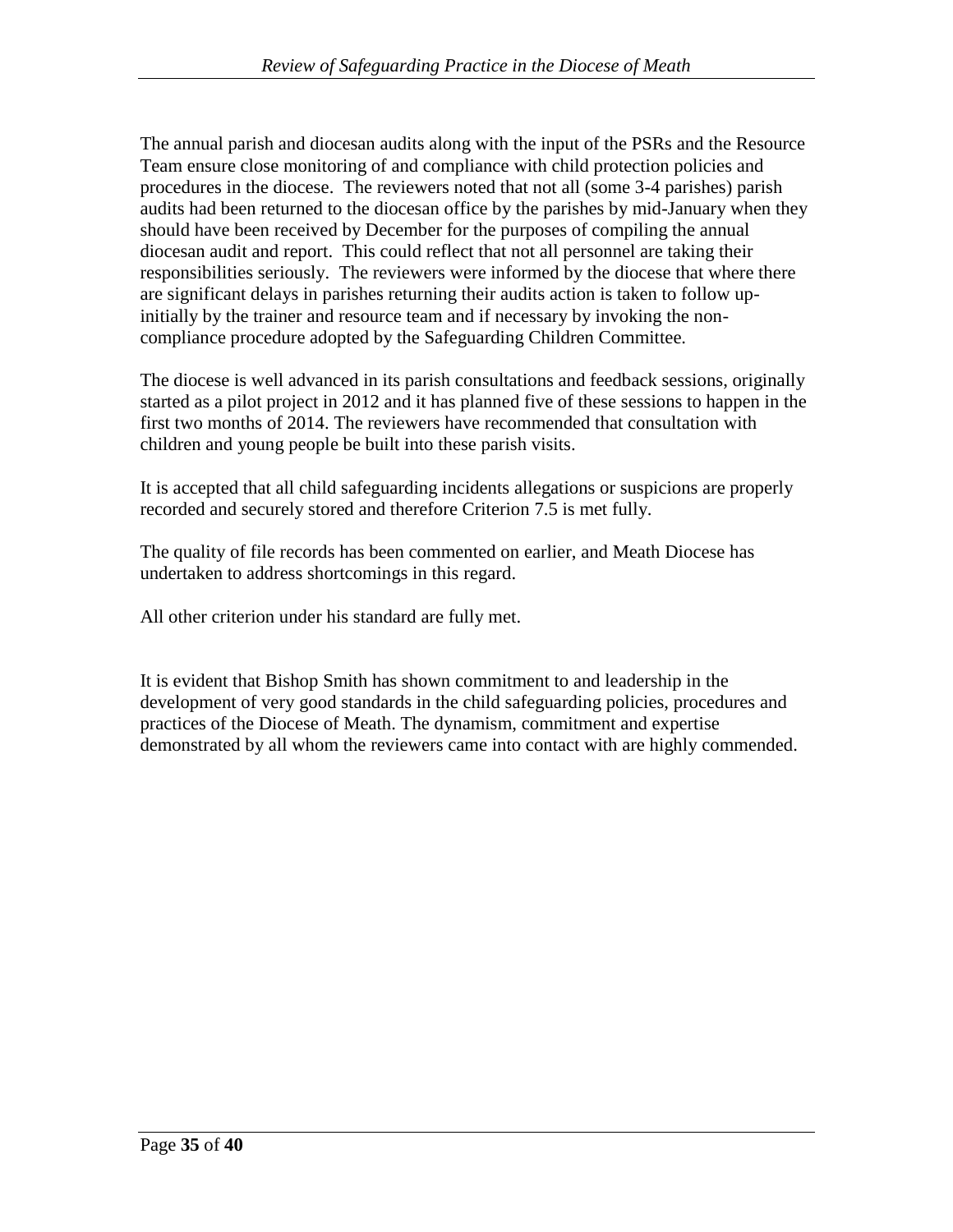The annual parish and diocesan audits along with the input of the PSRs and the Resource Team ensure close monitoring of and compliance with child protection policies and procedures in the diocese. The reviewers noted that not all (some 3-4 parishes) parish audits had been returned to the diocesan office by the parishes by mid-January when they should have been received by December for the purposes of compiling the annual diocesan audit and report. This could reflect that not all personnel are taking their responsibilities seriously. The reviewers were informed by the diocese that where there are significant delays in parishes returning their audits action is taken to follow upinitially by the trainer and resource team and if necessary by invoking the noncompliance procedure adopted by the Safeguarding Children Committee.

The diocese is well advanced in its parish consultations and feedback sessions, originally started as a pilot project in 2012 and it has planned five of these sessions to happen in the first two months of 2014. The reviewers have recommended that consultation with children and young people be built into these parish visits.

It is accepted that all child safeguarding incidents allegations or suspicions are properly recorded and securely stored and therefore Criterion 7.5 is met fully.

The quality of file records has been commented on earlier, and Meath Diocese has undertaken to address shortcomings in this regard.

All other criterion under his standard are fully met.

It is evident that Bishop Smith has shown commitment to and leadership in the development of very good standards in the child safeguarding policies, procedures and practices of the Diocese of Meath. The dynamism, commitment and expertise demonstrated by all whom the reviewers came into contact with are highly commended.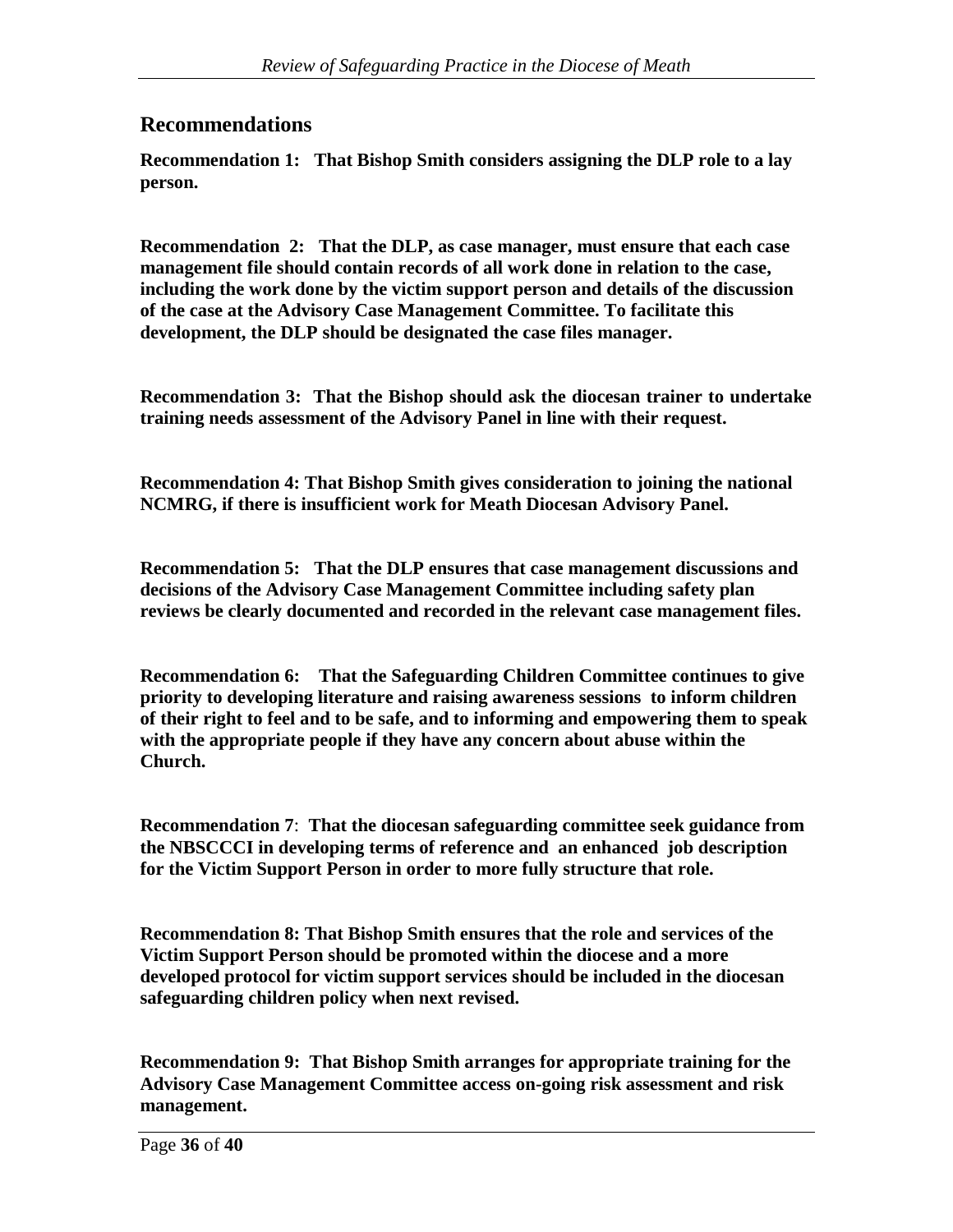# **Recommendations**

**Recommendation 1: That Bishop Smith considers assigning the DLP role to a lay person.** 

**Recommendation 2: That the DLP, as case manager, must ensure that each case management file should contain records of all work done in relation to the case, including the work done by the victim support person and details of the discussion of the case at the Advisory Case Management Committee. To facilitate this development, the DLP should be designated the case files manager.**

**Recommendation 3: That the Bishop should ask the diocesan trainer to undertake training needs assessment of the Advisory Panel in line with their request.**

**Recommendation 4: That Bishop Smith gives consideration to joining the national NCMRG, if there is insufficient work for Meath Diocesan Advisory Panel.**

**Recommendation 5: That the DLP ensures that case management discussions and decisions of the Advisory Case Management Committee including safety plan reviews be clearly documented and recorded in the relevant case management files.**

**Recommendation 6: That the Safeguarding Children Committee continues to give priority to developing literature and raising awareness sessions to inform children of their right to feel and to be safe, and to informing and empowering them to speak with the appropriate people if they have any concern about abuse within the Church.**

**Recommendation 7**: **That the diocesan safeguarding committee seek guidance from the NBSCCCI in developing terms of reference and an enhanced job description for the Victim Support Person in order to more fully structure that role.**

**Recommendation 8: That Bishop Smith ensures that the role and services of the Victim Support Person should be promoted within the diocese and a more developed protocol for victim support services should be included in the diocesan safeguarding children policy when next revised.**

**Recommendation 9: That Bishop Smith arranges for appropriate training for the Advisory Case Management Committee access on-going risk assessment and risk management.**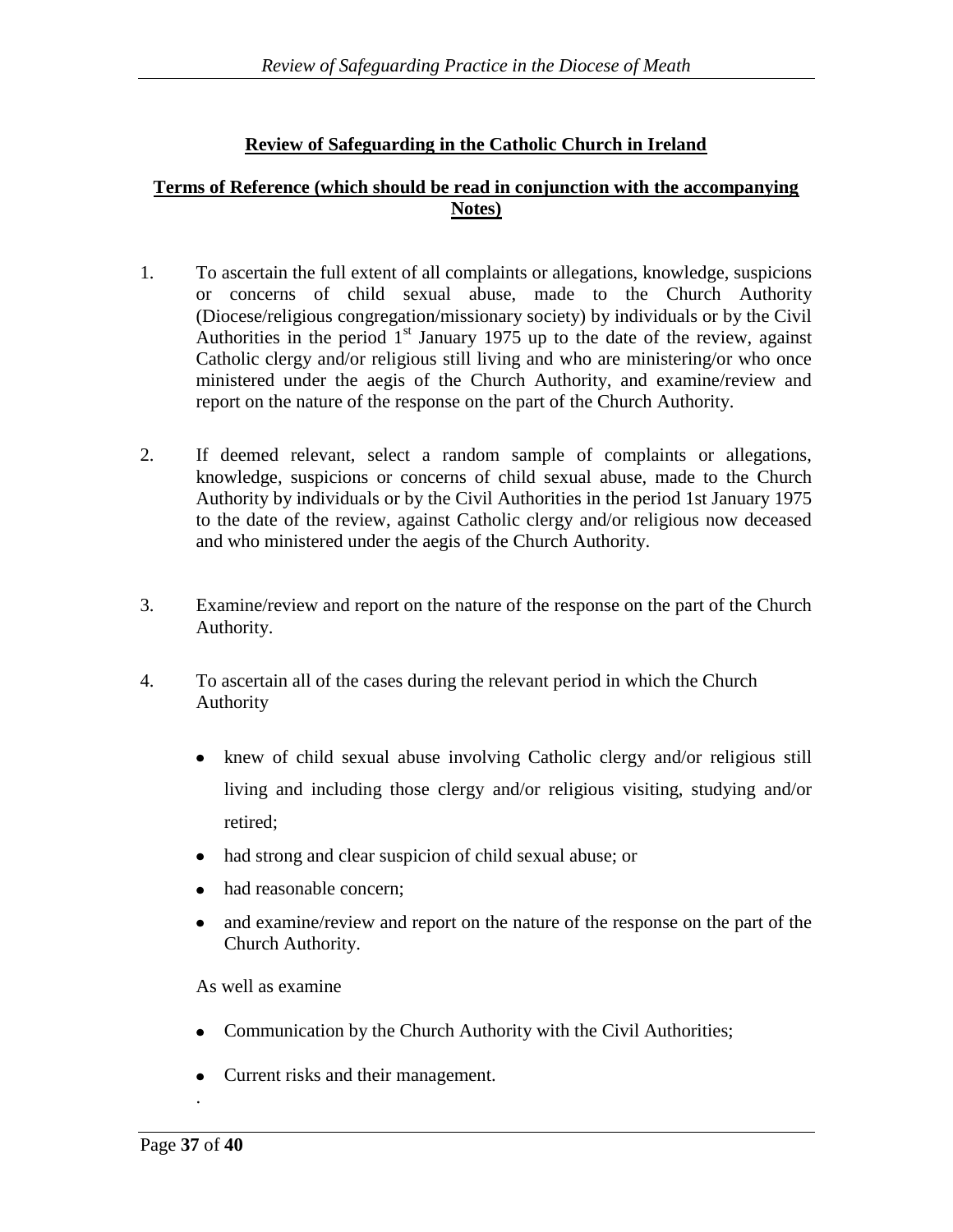# **Review of Safeguarding in the Catholic Church in Ireland**

### **Terms of Reference (which should be read in conjunction with the accompanying Notes)**

- 1. To ascertain the full extent of all complaints or allegations, knowledge, suspicions or concerns of child sexual abuse, made to the Church Authority (Diocese/religious congregation/missionary society) by individuals or by the Civil Authorities in the period  $1<sup>st</sup>$  January 1975 up to the date of the review, against Catholic clergy and/or religious still living and who are ministering/or who once ministered under the aegis of the Church Authority, and examine/review and report on the nature of the response on the part of the Church Authority.
- 2. If deemed relevant, select a random sample of complaints or allegations, knowledge, suspicions or concerns of child sexual abuse, made to the Church Authority by individuals or by the Civil Authorities in the period 1st January 1975 to the date of the review, against Catholic clergy and/or religious now deceased and who ministered under the aegis of the Church Authority.
- 3. Examine/review and report on the nature of the response on the part of the Church Authority.
- 4. To ascertain all of the cases during the relevant period in which the Church Authority
	- knew of child sexual abuse involving Catholic clergy and/or religious still living and including those clergy and/or religious visiting, studying and/or retired;
	- had strong and clear suspicion of child sexual abuse; or
	- had reasonable concern;
	- and examine/review and report on the nature of the response on the part of the  $\bullet$ Church Authority.

As well as examine

- Communication by the Church Authority with the Civil Authorities;  $\bullet$
- Current risks and their management.  $\bullet$

.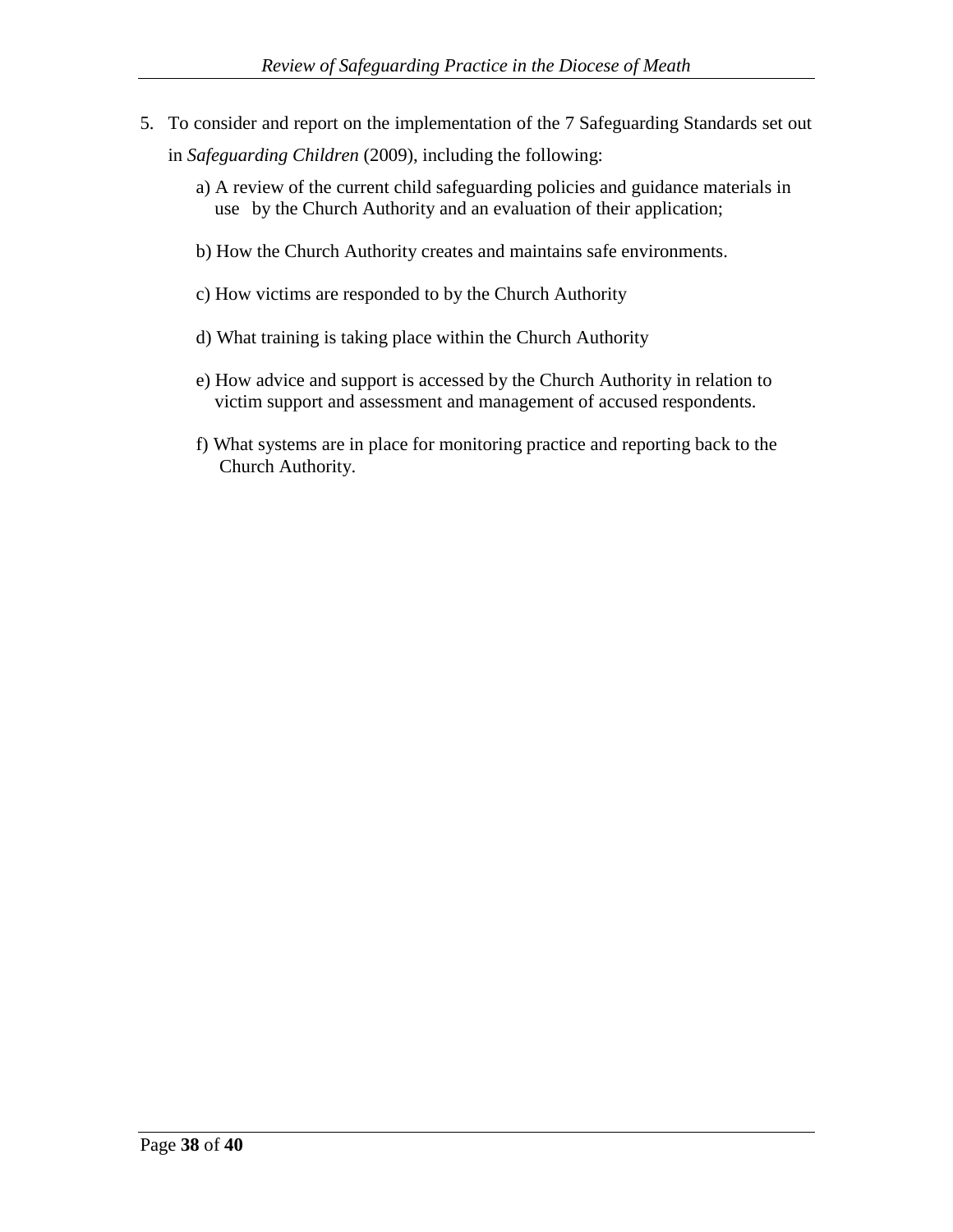- 5. To consider and report on the implementation of the 7 Safeguarding Standards set out in *Safeguarding Children* (2009), including the following:
	- a) A review of the current child safeguarding policies and guidance materials in use by the Church Authority and an evaluation of their application;
	- b) How the Church Authority creates and maintains safe environments.
	- c) How victims are responded to by the Church Authority
	- d) What training is taking place within the Church Authority
	- e) How advice and support is accessed by the Church Authority in relation to victim support and assessment and management of accused respondents.
	- f) What systems are in place for monitoring practice and reporting back to the Church Authority.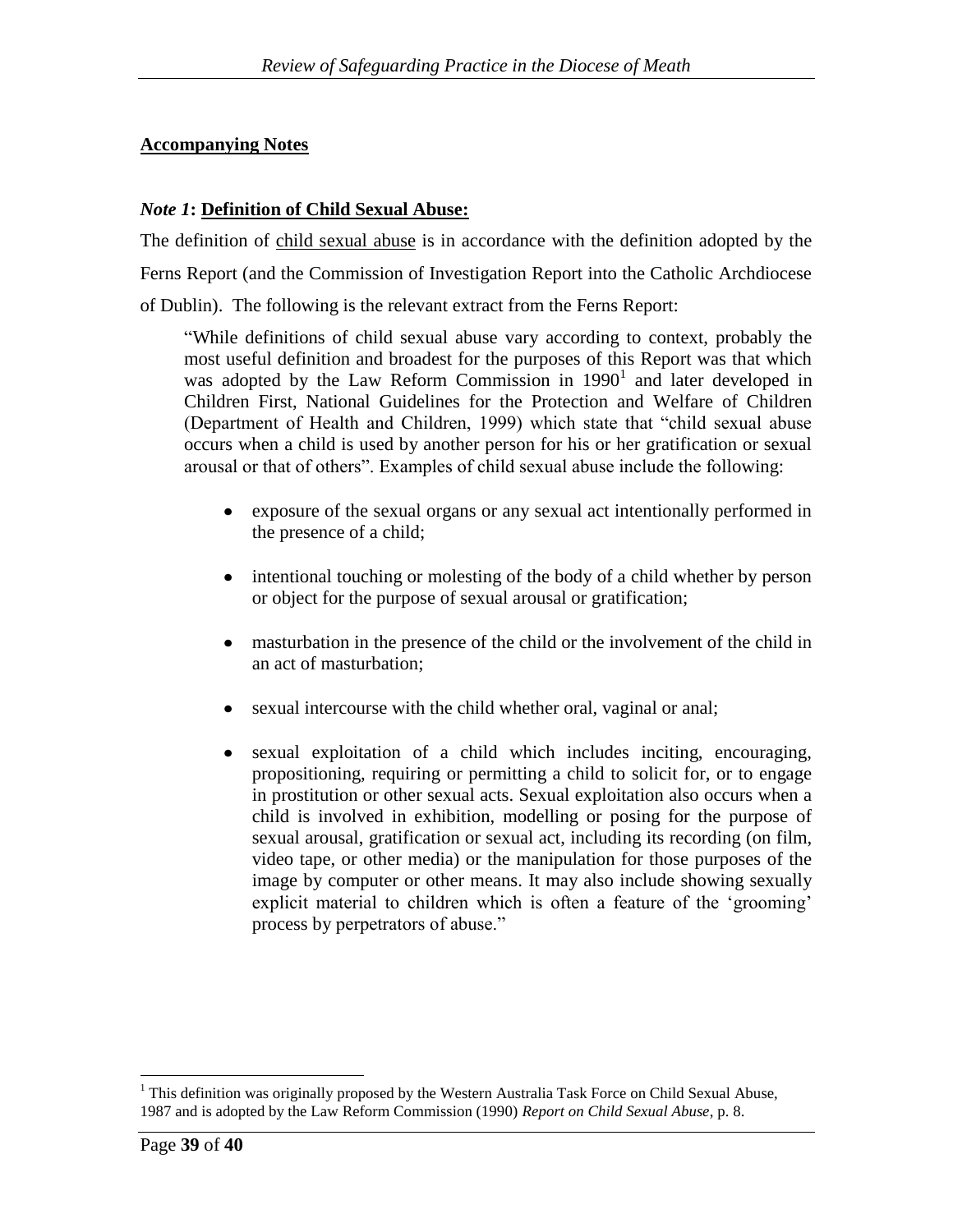### **Accompanying Notes**

### *Note 1***: Definition of Child Sexual Abuse:**

The definition of child sexual abuse is in accordance with the definition adopted by the Ferns Report (and the Commission of Investigation Report into the Catholic Archdiocese of Dublin). The following is the relevant extract from the Ferns Report:

"While definitions of child sexual abuse vary according to context, probably the most useful definition and broadest for the purposes of this Report was that which was adopted by the Law Reform Commission in  $1990<sup>1</sup>$  and later developed in Children First, National Guidelines for the Protection and Welfare of Children (Department of Health and Children, 1999) which state that "child sexual abuse occurs when a child is used by another person for his or her gratification or sexual arousal or that of others". Examples of child sexual abuse include the following:

- exposure of the sexual organs or any sexual act intentionally performed in the presence of a child;
- intentional touching or molesting of the body of a child whether by person  $\bullet$ or object for the purpose of sexual arousal or gratification;
- $\bullet$ masturbation in the presence of the child or the involvement of the child in an act of masturbation;
- sexual intercourse with the child whether oral, vaginal or anal;  $\bullet$
- sexual exploitation of a child which includes inciting, encouraging,  $\bullet$ propositioning, requiring or permitting a child to solicit for, or to engage in prostitution or other sexual acts. Sexual exploitation also occurs when a child is involved in exhibition, modelling or posing for the purpose of sexual arousal, gratification or sexual act, including its recording (on film, video tape, or other media) or the manipulation for those purposes of the image by computer or other means. It may also include showing sexually explicit material to children which is often a feature of the 'grooming' process by perpetrators of abuse."

 $\overline{a}$ 

<sup>&</sup>lt;sup>1</sup> This definition was originally proposed by the Western Australia Task Force on Child Sexual Abuse, 1987 and is adopted by the Law Reform Commission (1990) *Report on Child Sexual Abuse*, p. 8.